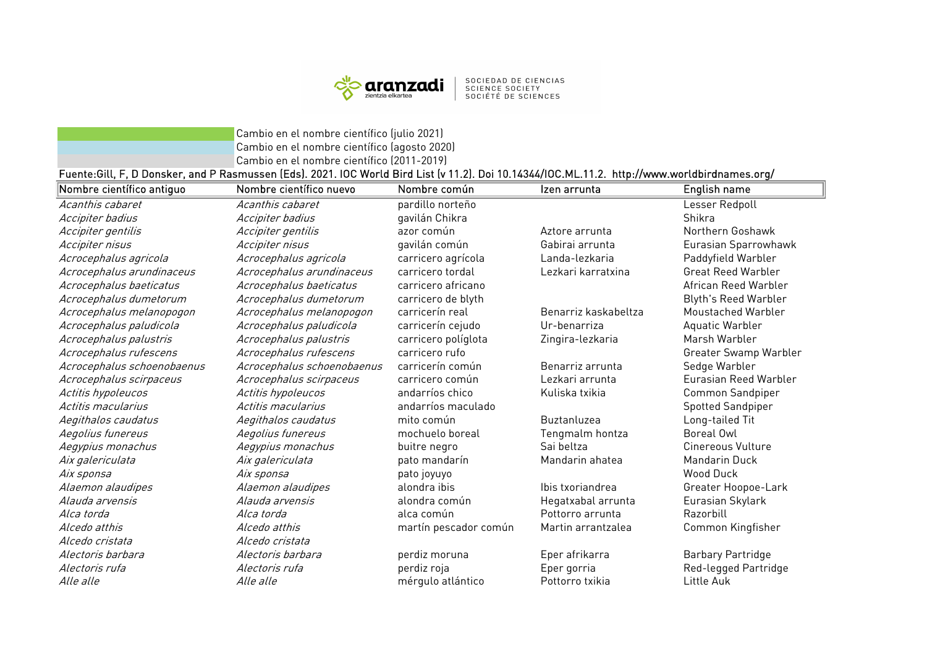

SOCIEDAD DE CIENCIAS<br>SCIENCE SOCIETY<br>SOCIÉTÉ DE SCIENCES

Cambio en el nombre científico (julio 2021) Cambio en el nombre científico (agosto 2020) Cambio en el nombre científico (2011-2019)

## Fuente:Gill, F, D Donsker, and P Rasmussen (Eds). 2021. IOC World Bird List (v 11.2). Doi 10.14344/IOC.ML.11.2. http://www.worldbirdnames.org/

| Nombre científico antiguo  | Nombre científico nuevo    | Nombre común          | Izen arrunta         | English name                |
|----------------------------|----------------------------|-----------------------|----------------------|-----------------------------|
| Acanthis cabaret           | Acanthis cabaret           | pardillo norteño      |                      | Lesser Redpoll              |
| Accipiter badius           | Accipiter badius           | gavilán Chikra        |                      | Shikra                      |
| Accipiter gentilis         | Accipiter gentilis         | azor común            | Aztore arrunta       | Northern Goshawk            |
| Accipiter nisus            | Accipiter nisus            | gavilán común         | Gabirai arrunta      | Eurasian Sparrowhawk        |
| Acrocephalus agricola      | Acrocephalus agricola      | carricero agrícola    | Landa-lezkaria       | Paddyfield Warbler          |
| Acrocephalus arundinaceus  | Acrocephalus arundinaceus  | carricero tordal      | Lezkari karratxina   | <b>Great Reed Warbler</b>   |
| Acrocephalus baeticatus    | Acrocephalus baeticatus    | carricero africano    |                      | African Reed Warbler        |
| Acrocephalus dumetorum     | Acrocephalus dumetorum     | carricero de blyth    |                      | <b>Blyth's Reed Warbler</b> |
| Acrocephalus melanopogon   | Acrocephalus melanopogon   | carricerín real       | Benarriz kaskabeltza | Moustached Warbler          |
| Acrocephalus paludicola    | Acrocephalus paludicola    | carricerín cejudo     | Ur-benarriza         | Aquatic Warbler             |
| Acrocephalus palustris     | Acrocephalus palustris     | carricero políglota   | Zingira-lezkaria     | Marsh Warbler               |
| Acrocephalus rufescens     | Acrocephalus rufescens     | carricero rufo        |                      | Greater Swamp Warbler       |
| Acrocephalus schoenobaenus | Acrocephalus schoenobaenus | carricerín común      | Benarriz arrunta     | Sedge Warbler               |
| Acrocephalus scirpaceus    | Acrocephalus scirpaceus    | carricero común       | Lezkari arrunta      | Eurasian Reed Warbler       |
| Actitis hypoleucos         | Actitis hypoleucos         | andarríos chico       | Kuliska txikia       | Common Sandpiper            |
| Actitis macularius         | Actitis macularius         | andarríos maculado    |                      | Spotted Sandpiper           |
| Aegithalos caudatus        | Aegithalos caudatus        | mito común            | Buztanluzea          | Long-tailed Tit             |
| Aegolius funereus          | Aegolius funereus          | mochuelo boreal       | Tengmalm hontza      | Boreal Owl                  |
| Aegypius monachus          | Aegypius monachus          | buitre negro          | Sai beltza           | Cinereous Vulture           |
| Aix galericulata           | Aix galericulata           | pato mandarín         | Mandarin ahatea      | <b>Mandarin Duck</b>        |
| Aix sponsa                 | Aix sponsa                 | pato joyuyo           |                      | <b>Wood Duck</b>            |
| Alaemon alaudipes          | Alaemon alaudipes          | alondra ibis          | Ibis txoriandrea     | Greater Hoopoe-Lark         |
| Alauda arvensis            | Alauda arvensis            | alondra común         | Hegatxabal arrunta   | Eurasian Skylark            |
| Alca torda                 | Alca torda                 | alca común            | Pottorro arrunta     | Razorbill                   |
| Alcedo atthis              | Alcedo atthis              | martín pescador común | Martin arrantzalea   | Common Kingfisher           |
| Alcedo cristata            | Alcedo cristata            |                       |                      |                             |
| Alectoris barbara          | Alectoris barbara          | perdiz moruna         | Eper afrikarra       | <b>Barbary Partridge</b>    |
| Alectoris rufa             | Alectoris rufa             | perdiz roja           | Eper gorria          | Red-legged Partridge        |
| Alle alle                  | <i>Alle alle</i>           | mérgulo atlántico     | Pottorro txikia      | Little Auk                  |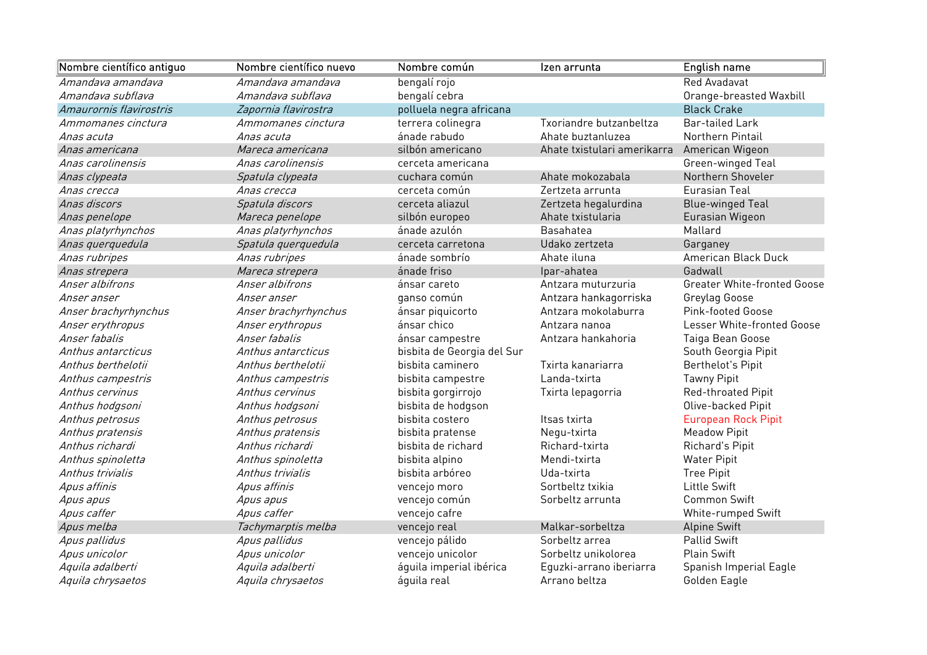| Nombre científico antiguo | Nombre científico nuevo | Nombre común               | Izen arrunta                                | English name                       |
|---------------------------|-------------------------|----------------------------|---------------------------------------------|------------------------------------|
| Amandava amandava         | Amandava amandava       | bengalí rojo               |                                             | <b>Red Avadavat</b>                |
| Amandaya subflaya         | Amandaya subflaya       | bengalí cebra              |                                             | Orange-breasted Waxbill            |
| Amaurornis flavirostris   | Zapornia flavirostra    | polluela negra africana    |                                             | <b>Black Crake</b>                 |
| Ammomanes cinctura        | Ammomanes cinctura      | terrera colinegra          | Txoriandre butzanbeltza                     | <b>Bar-tailed Lark</b>             |
| Anas acuta                | Anas acuta              | ánade rabudo               | Ahate buztanluzea                           | Northern Pintail                   |
| Anas americana            | Mareca americana        | silbón americano           | Ahate txistulari amerikarra American Wigeon |                                    |
| Anas carolinensis         | Anas carolinensis       | cerceta americana          |                                             | Green-winged Teal                  |
| Anas clypeata             | Spatula clypeata        | cuchara común              | Ahate mokozabala                            | Northern Shoveler                  |
| Anas crecca               | Anas crecca             | cerceta común              | Zertzeta arrunta                            | <b>Eurasian Teal</b>               |
| Anas discors              | Spatula discors         | cerceta aliazul            | Zertzeta hegalurdina                        | <b>Blue-winged Teal</b>            |
| Anas penelope             | Mareca penelope         | silbón europeo             | Ahate txistularia                           | Eurasian Wigeon                    |
| Anas platyrhynchos        | Anas platyrhynchos      | ánade azulón               | Basahatea                                   | Mallard                            |
| Anas querquedula          | Spatula querquedula     | cerceta carretona          | Udako zertzeta                              | Garganey                           |
| Anas rubripes             | Anas rubripes           | ánade sombrío              | Ahate iluna                                 | American Black Duck                |
| Anas strepera             | Mareca strepera         | ánade friso                | Ipar-ahatea                                 | Gadwall                            |
| Anser albifrons           | Anser albifrons         | ánsar careto               | Antzara muturzuria                          | <b>Greater White-fronted Goose</b> |
| Anser anser               | Anser anser             | ganso común                | Antzara hankagorriska                       | Greylag Goose                      |
| Anser brachyrhynchus      | Anser brachyrhynchus    | ánsar piquicorto           | Antzara mokolaburra                         | Pink-footed Goose                  |
| Anser erythropus          | Anser erythropus        | ánsar chico                | Antzara nanoa                               | Lesser White-fronted Goose         |
| Anser fabalis             | Anser fabalis           | ánsar campestre            | Antzara hankahoria                          | Taiga Bean Goose                   |
| Anthus antarcticus        | Anthus antarcticus      | bisbita de Georgia del Sur |                                             | South Georgia Pipit                |
| Anthus berthelotii        | Anthus berthelotii      | bisbita caminero           | Txirta kanariarra                           | Berthelot's Pipit                  |
| Anthus campestris         | Anthus campestris       | bisbita campestre          | Landa-txirta                                | <b>Tawny Pipit</b>                 |
| Anthus cervinus           | Anthus cervinus         | bisbita gorgirrojo         | Txirta lepagorria                           | Red-throated Pipit                 |
| Anthus hodgsoni           | Anthus hodgsoni         | bisbita de hodgson         |                                             | Olive-backed Pipit                 |
| Anthus petrosus           | Anthus petrosus         | bisbita costero            | Itsas txirta                                | <b>European Rock Pipit</b>         |
| Anthus pratensis          | Anthus pratensis        | bisbita pratense           | Negu-txirta                                 | <b>Meadow Pipit</b>                |
| Anthus richardi           | Anthus richardi         | bisbita de richard         | Richard-txirta                              | Richard's Pipit                    |
| Anthus spinoletta         | Anthus spinoletta       | bisbita alpino             | Mendi-txirta                                | <b>Water Pipit</b>                 |
| Anthus trivialis          | Anthus trivialis        | bisbita arbóreo            | Uda-txirta                                  | <b>Tree Pipit</b>                  |
| Apus affinis              | Apus affinis            | vencejo moro               | Sortbeltz txikia                            | <b>Little Swift</b>                |
| Apus apus                 | Apus apus               | vencejo común              | Sorbeltz arrunta                            | <b>Common Swift</b>                |
| Apus caffer               | Apus caffer             | vencejo cafre              |                                             | White-rumped Swift                 |
| Apus melba                | Tachymarptis melba      | vencejo real               | Malkar-sorbeltza                            | <b>Alpine Swift</b>                |
| Apus pallidus             | Apus pallidus           | vencejo pálido             | Sorbeltz arrea                              | <b>Pallid Swift</b>                |
| Apus unicolor             | Apus unicolor           | vencejo unicolor           | Sorbeltz unikolorea                         | Plain Swift                        |
| Aquila adalberti          | Aquila adalberti        | águila imperial ibérica    | Eguzki-arrano iberiarra                     | Spanish Imperial Eagle             |
| Aquila chrysaetos         | Aquila chrysaetos       | águila real                | Arrano beltza                               | Golden Eagle                       |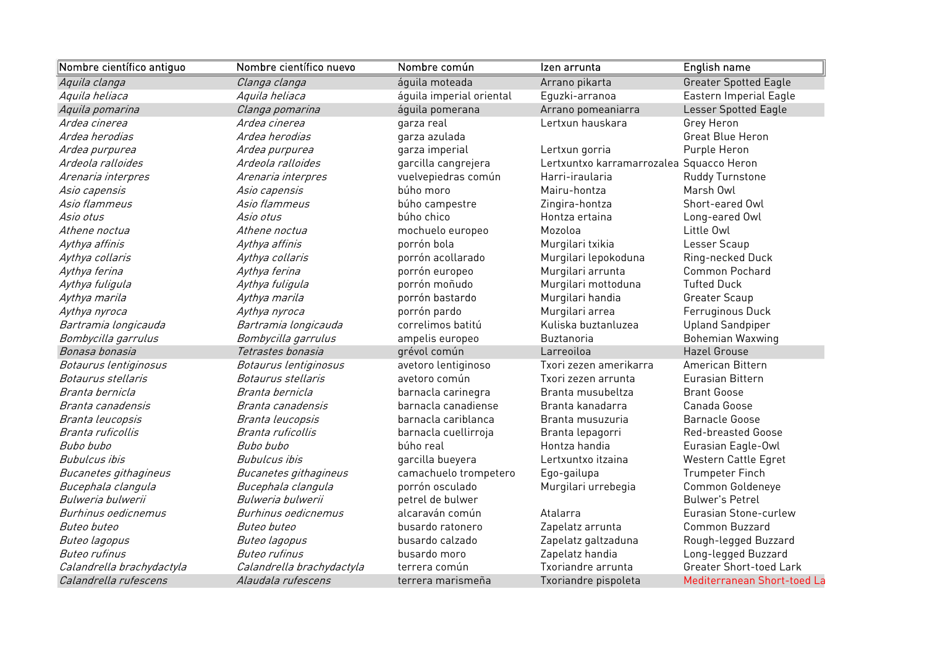| Nombre científico antiguo | Nombre científico nuevo   | Nombre común             | Izen arrunta                             | English name                   |
|---------------------------|---------------------------|--------------------------|------------------------------------------|--------------------------------|
| Aquila clanga             | Clanga clanga             | áquila moteada           | Arrano pikarta                           | <b>Greater Spotted Eagle</b>   |
| Aquila heliaca            | Aquila heliaca            | águila imperial oriental | Eguzki-arranoa                           | Eastern Imperial Eagle         |
| Aquila pomarina           | Clanga pomarina           | águila pomerana          | Arrano pomeaniarra                       | <b>Lesser Spotted Eagle</b>    |
| Ardea cinerea             | Ardea cinerea             | garza real               | Lertxun hauskara                         | Grey Heron                     |
| Ardea herodias            | Ardea herodias            | garza azulada            |                                          | <b>Great Blue Heron</b>        |
| Ardea purpurea            | Ardea purpurea            | garza imperial           | Lertxun gorria                           | Purple Heron                   |
| Ardeola ralloides         | Ardeola ralloides         | garcilla cangrejera      | Lertxuntxo karramarrozalea Squacco Heron |                                |
| Arenaria interpres        | Arenaria interpres        | vuelvepiedras común      | Harri-iraularia                          | Ruddy Turnstone                |
| Asio capensis             | Asio capensis             | búho moro                | Mairu-hontza                             | Marsh Owl                      |
| Asio flammeus             | Asio flammeus             | búho campestre           | Zingira-hontza                           | Short-eared Owl                |
| Asio otus                 | Asio otus                 | búho chico               | Hontza ertaina                           | Long-eared Owl                 |
| Athene noctua             | Athene noctua             | mochuelo europeo         | Mozoloa                                  | Little Owl                     |
| Aythya affinis            | Aythya affinis            | porrón bola              | Murgilari txikia                         | Lesser Scaup                   |
| Aythya collaris           | Aythya collaris           | porrón acollarado        | Murgilari lepokoduna                     | Ring-necked Duck               |
| Aythya ferina             | Aythya ferina             | porrón europeo           | Murgilari arrunta                        | Common Pochard                 |
| Aythya fuligula           | Aythya fuligula           | porrón moñudo            | Murgilari mottoduna                      | <b>Tufted Duck</b>             |
| Aythya marila             | Aythya marila             | porrón bastardo          | Murgilari handia                         | Greater Scaup                  |
| Aythya nyroca             | Aythya nyroca             | porrón pardo             | Murgilari arrea                          | Ferruginous Duck               |
| Bartramia longicauda      | Bartramia longicauda      | correlimos batitú        | Kuliska buztanluzea                      | <b>Upland Sandpiper</b>        |
| Bombycilla garrulus       | Bombycilla garrulus       | ampelis europeo          | Buztanoria                               | <b>Bohemian Waxwing</b>        |
| Bonasa bonasia            | Tetrastes bonasia         | grévol común             | Larreoiloa                               | <b>Hazel Grouse</b>            |
| Botaurus lentiginosus     | Botaurus lentiginosus     | avetoro lentiginoso      | Txori zezen amerikarra                   | American Bittern               |
| <i>Botaurus stellaris</i> | <i>Botaurus stellaris</i> | avetoro común            | Txori zezen arrunta                      | Eurasian Bittern               |
| Branta bernicla           | Branta bernicla           | barnacla carinegra       | Branta musubeltza                        | <b>Brant Goose</b>             |
| Branta canadensis         | Branta canadensis         | barnacla canadiense      | Branta kanadarra                         | Canada Goose                   |
| Branta leucopsis          | Branta leucopsis          | barnacla cariblanca      | Branta musuzuria                         | <b>Barnacle Goose</b>          |
| Branta ruficollis         | Branta ruficollis         | barnacla cuellirroja     | Branta lepagorri                         | <b>Red-breasted Goose</b>      |
| Bubo bubo                 | Bubo bubo                 | búho real                | Hontza handia                            | Eurasian Eagle-Owl             |
| Bubulcus ibis             | <b>Bubulcus</b> ibis      | garcilla bueyera         | Lertxuntxo itzaina                       | Western Cattle Egret           |
| Bucanetes githagineus     | Bucanetes githagineus     | camachuelo trompetero    | Ego-gailupa                              | <b>Trumpeter Finch</b>         |
| Bucephala clangula        | Bucephala clangula        | porrón osculado          | Murgilari urrebegia                      | Common Goldeneye               |
| Bulweria bulwerii         | Bulweria bulwerii         | petrel de bulwer         |                                          | <b>Bulwer's Petrel</b>         |
| Burhinus oedicnemus       | Burhinus oedicnemus       | alcaraván común          | Atalarra                                 | Eurasian Stone-curlew          |
| <i>Buteo buteo</i>        | Buteo buteo               | busardo ratonero         | Zapelatz arrunta                         | <b>Common Buzzard</b>          |
| Buteo lagopus             | Buteo lagopus             | busardo calzado          | Zapelatz galtzaduna                      | Rough-legged Buzzard           |
| <b>Buteo rufinus</b>      | <b>Buteo rufinus</b>      | busardo moro             | Zapelatz handia                          | Long-legged Buzzard            |
| Calandrella brachydactyla | Calandrella brachydactyla | terrera común            | Txoriandre arrunta                       | <b>Greater Short-toed Lark</b> |
| Calandrella rufescens     | Alaudala rufescens        | terrera marismeña        | Txoriandre pispoleta                     | Mediterranean Short-toed La    |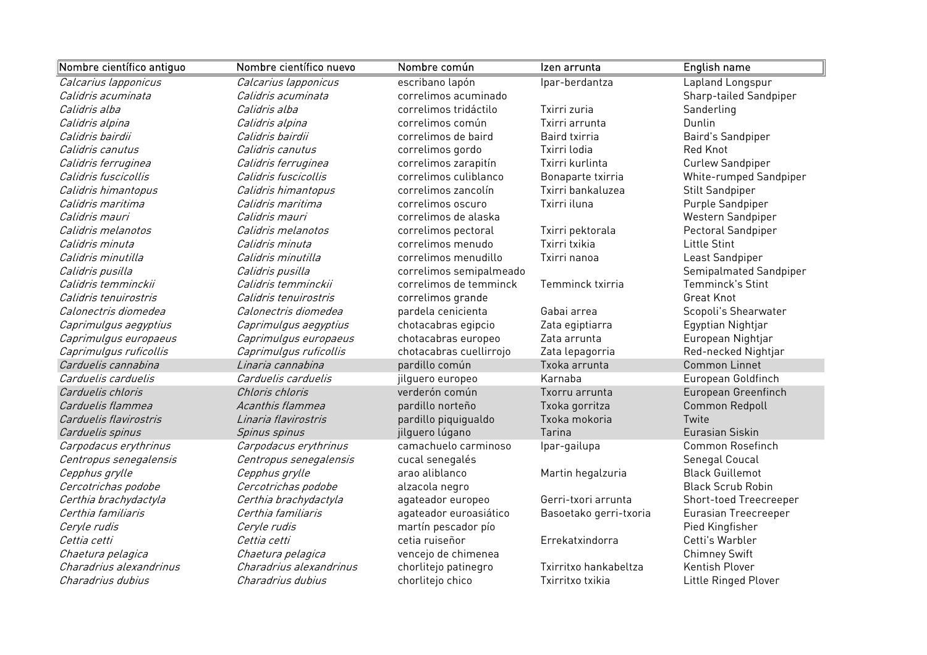| Nombre científico antiguo | Nombre científico nuevo | Nombre común            | Izen arrunta           | English name                |
|---------------------------|-------------------------|-------------------------|------------------------|-----------------------------|
| Calcarius lapponicus      | Calcarius lapponicus    | escribano lapón         | Ipar-berdantza         | Lapland Longspur            |
| Calidris acuminata        | Calidris acuminata      | correlimos acuminado    |                        | Sharp-tailed Sandpiper      |
| Calidris alba             | Calidris alba           | correlimos tridáctilo   | Txirri zuria           | Sanderling                  |
| Calidris alpina           | Calidris alpina         | correlimos común        | Txirri arrunta         | Dunlin                      |
| Calidris bairdii          | Calidris bairdii        | correlimos de baird     | Baird txirria          | Baird's Sandpiper           |
| Calidris canutus          | Calidris canutus        | correlimos gordo        | Txirri lodia           | Red Knot                    |
| Calidris ferruginea       | Calidris ferruginea     | correlimos zarapitín    | Txirri kurlinta        | Curlew Sandpiper            |
| Calidris fuscicollis      | Calidris fuscicollis    | correlimos culiblanco   | Bonaparte txirria      | White-rumped Sandpiper      |
| Calidris himantopus       | Calidris himantopus     | correlimos zancolín     | Txirri bankaluzea      | <b>Stilt Sandpiper</b>      |
| Calidris maritima         | Calidris maritima       | correlimos oscuro       | Txirri iluna           | Purple Sandpiper            |
| Calidris mauri            | Calidris mauri          | correlimos de alaska    |                        | Western Sandpiper           |
| Calidris melanotos        | Calidris melanotos      | correlimos pectoral     | Txirri pektorala       | Pectoral Sandpiper          |
| Calidris minuta           | Calidris minuta         | correlimos menudo       | Txirri txikia          | Little Stint                |
| Calidris minutilla        | Calidris minutilla      | correlimos menudillo    | Txirri nanoa           | Least Sandpiper             |
| Calidris pusilla          | Calidris pusilla        | correlimos semipalmeado |                        | Semipalmated Sandpiper      |
| Calidris temminckii       | Calidris temminckii     | correlimos de temminck  | Temminck txirria       | Temminck's Stint            |
| Calidris tenuirostris     | Calidris tenuirostris   | correlimos grande       |                        | <b>Great Knot</b>           |
| Calonectris diomedea      | Calonectris diomedea    | pardela cenicienta      | Gabai arrea            | Scopoli's Shearwater        |
| Caprimulgus aegyptius     | Caprimulgus aegyptius   | chotacabras egipcio     | Zata egiptiarra        | Egyptian Nightjar           |
| Caprimulgus europaeus     | Caprimulgus europaeus   | chotacabras europeo     | Zata arrunta           | European Nightjar           |
| Caprimulgus ruficollis    | Caprimulgus ruficollis  | chotacabras cuellirrojo | Zata lepagorria        | Red-necked Nightjar         |
| Carduelis cannabina       | Linaria cannabina       | pardillo común          | Txoka arrunta          | <b>Common Linnet</b>        |
| Carduelis carduelis       | Carduelis carduelis     | jilguero europeo        | Karnaba                | European Goldfinch          |
| Carduelis chloris         | Chloris chloris         | verderón común          | Txorru arrunta         | European Greenfinch         |
| Carduelis flammea         | Acanthis flammea        | pardillo norteño        | Txoka gorritza         | Common Redpoll              |
| Carduelis flavirostris    | Linaria flavirostris    | pardillo piquigualdo    | Txoka mokoria          | Twite                       |
| Carduelis spinus          | Spinus spinus           | jilguero lúgano         | Tarina                 | Eurasian Siskin             |
| Carpodacus erythrinus     | Carpodacus erythrinus   | camachuelo carminoso    | Ipar-gailupa           | Common Rosefinch            |
| Centropus senegalensis    | Centropus senegalensis  | cucal senegalés         |                        | Senegal Coucal              |
| Cepphus grylle            | Cepphus grylle          | arao aliblanco          | Martin hegalzuria      | <b>Black Guillemot</b>      |
| Cercotrichas podobe       | Cercotrichas podobe     | alzacola negro          |                        | <b>Black Scrub Robin</b>    |
| Certhia brachydactyla     | Certhia brachydactyla   | agateador europeo       | Gerri-txori arrunta    | Short-toed Treecreeper      |
| Certhia familiaris        | Certhia familiaris      | agateador euroasiático  | Basoetako gerri-txoria | <b>Eurasian Treecreeper</b> |
| Ceryle rudis              | Ceryle rudis            | martín pescador pío     |                        | Pied Kingfisher             |
| Cettia cetti              | Cettia cetti            | cetia ruiseñor          | Errekatxindorra        | Cetti's Warbler             |
| Chaetura pelagica         | Chaetura pelagica       | vencejo de chimenea     |                        | <b>Chimney Swift</b>        |
| Charadrius alexandrinus   | Charadrius alexandrinus | chorlitejo patinegro    | Txirritxo hankabeltza  | Kentish Plover              |
| Charadrius dubius         | Charadrius dubius       | chorlitejo chico        | Txirritxo txikia       | Little Ringed Plover        |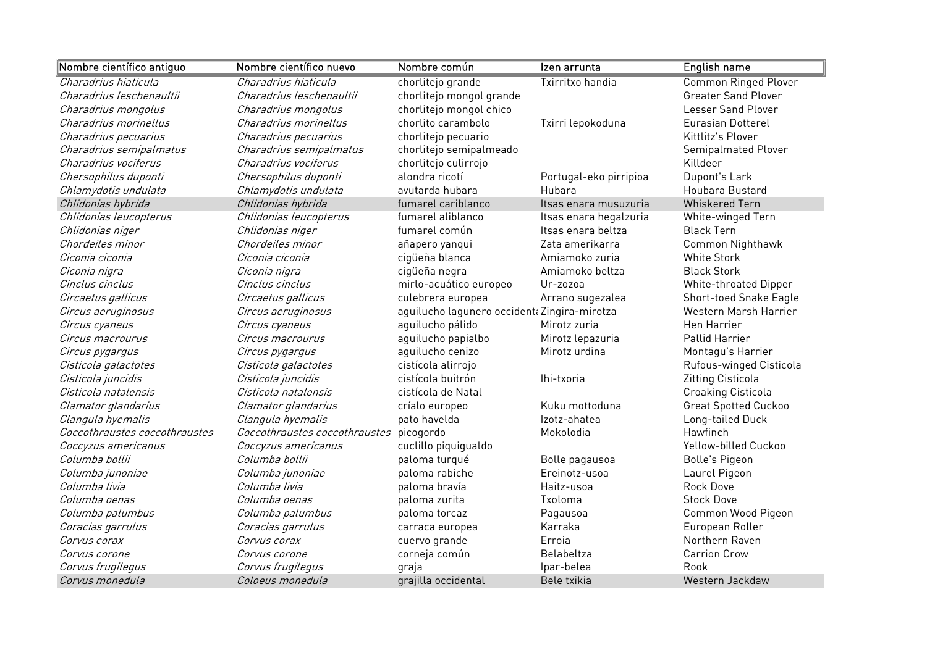| Nombre científico antiguo     | Nombre científico nuevo       | Nombre común                                 | Izen arrunta           | <b>English name</b>         |
|-------------------------------|-------------------------------|----------------------------------------------|------------------------|-----------------------------|
| Charadrius hiaticula          | Charadrius hiaticula          | chorlitejo grande                            | Txirritxo handia       | <b>Common Ringed Plover</b> |
| Charadrius leschenaultii      | Charadrius leschenaultii      | chorlitejo mongol grande                     |                        | <b>Greater Sand Plover</b>  |
| Charadrius mongolus           | Charadrius mongolus           | chorlitejo mongol chico                      |                        | <b>Lesser Sand Plover</b>   |
| Charadrius morinellus         | Charadrius morinellus         | chorlito carambolo                           | Txirri lepokoduna      | <b>Eurasian Dotterel</b>    |
| Charadrius pecuarius          | Charadrius pecuarius          | chorlitejo pecuario                          |                        | Kittlitz's Plover           |
| Charadrius semipalmatus       | Charadrius semipalmatus       | chorlitejo semipalmeado                      |                        | Semipalmated Plover         |
| Charadrius vociferus          | Charadrius vociferus          | chorlitejo culirrojo                         |                        | Killdeer                    |
| Chersophilus duponti          | Chersophilus duponti          | alondra ricotí                               | Portugal-eko pirripioa | Dupont's Lark               |
| Chlamydotis undulata          | Chlamydotis undulata          | avutarda hubara                              | Hubara                 | <b>Houbara Bustard</b>      |
| Chlidonias hybrida            | Chlidonias hybrida            | fumarel cariblanco                           | Itsas enara musuzuria  | <b>Whiskered Tern</b>       |
| Chlidonias leucopterus        | Chlidonias leucopterus        | fumarel aliblanco                            | Itsas enara hegalzuria | White-winged Tern           |
| Chlidonias niger              | Chlidonias niger              | fumarel común                                | Itsas enara beltza     | <b>Black Tern</b>           |
| Chordeiles minor              | Chordeiles minor              | añapero yanqui                               | Zata amerikarra        | Common Nighthawk            |
| Ciconia ciconia               | Ciconia ciconia               | cigüeña blanca                               | Amiamoko zuria         | <b>White Stork</b>          |
| Ciconia nigra                 | Ciconia nigra                 | cigüeña negra                                | Amiamoko beltza        | <b>Black Stork</b>          |
| Cinclus cinclus               | Cinclus cinclus               | mirlo-acuático europeo                       | Ur-zozoa               | White-throated Dipper       |
| Circaetus gallicus            | Circaetus gallicus            | culebrera europea                            | Arrano sugezalea       | Short-toed Snake Eagle      |
| Circus aeruginosus            | Circus aeruginosus            | aguilucho lagunero occident: Zingira-mirotza |                        | Western Marsh Harrier       |
| Circus cyaneus                | Circus cyaneus                | aguilucho pálido                             | Mirotz zuria           | <b>Hen Harrier</b>          |
| Circus macrourus              | Circus macrourus              | aguilucho papialbo                           | Mirotz lepazuria       | Pallid Harrier              |
| Circus pygargus               | Circus pygargus               | aguilucho cenizo                             | Mirotz urdina          | Montagu's Harrier           |
| Cisticola galactotes          | Cisticola galactotes          | cistícola alirrojo                           |                        | Rufous-winged Cisticola     |
| Cisticola juncidis            | Cisticola juncidis            | cistícola buitrón                            | Ihi-txoria             | Zitting Cisticola           |
| Cisticola natalensis          | Cisticola natalensis          | cistícola de Natal                           |                        | <b>Croaking Cisticola</b>   |
| Clamator glandarius           | Clamator glandarius           | críalo europeo                               | Kuku mottoduna         | <b>Great Spotted Cuckoo</b> |
| Clangula hyemalis             | Clangula hyemalis             | pato havelda                                 | Izotz-ahatea           | Long-tailed Duck            |
| Coccothraustes coccothraustes | Coccothraustes coccothraustes | picogordo                                    | Mokolodia              | Hawfinch                    |
| Coccyzus americanus           | Coccyzus americanus           | cuclillo piquigualdo                         |                        | Yellow-billed Cuckoo        |
| Columba bollii                | Columba bollii                | paloma turqué                                | Bolle pagausoa         | <b>Bolle's Pigeon</b>       |
| Columba junoniae              | Columba junoniae              | paloma rabiche                               | Ereinotz-usoa          | Laurel Pigeon               |
| Columba livia                 | Columba livia                 | paloma bravía                                | Haitz-usoa             | Rock Dove                   |
| Columba oenas                 | Columba oenas                 | paloma zurita                                | Txoloma                | <b>Stock Dove</b>           |
| Columba palumbus              | Columba palumbus              | paloma torcaz                                | Pagausoa               | Common Wood Pigeon          |
| Coracias garrulus             | Coracias garrulus             | carraca europea                              | Karraka                | European Roller             |
| Corvus corax                  | Corvus corax                  | cuervo grande                                | Erroia                 | Northern Raven              |
| Corvus corone                 | Corvus corone                 | corneja común                                | Belabeltza             | <b>Carrion Crow</b>         |
| Corvus frugilegus             | Corvus frugilegus             | graja                                        | Ipar-belea             | Rook                        |
| Corvus monedula               | Coloeus monedula              | grajilla occidental                          | Bele txikia            | Western Jackdaw             |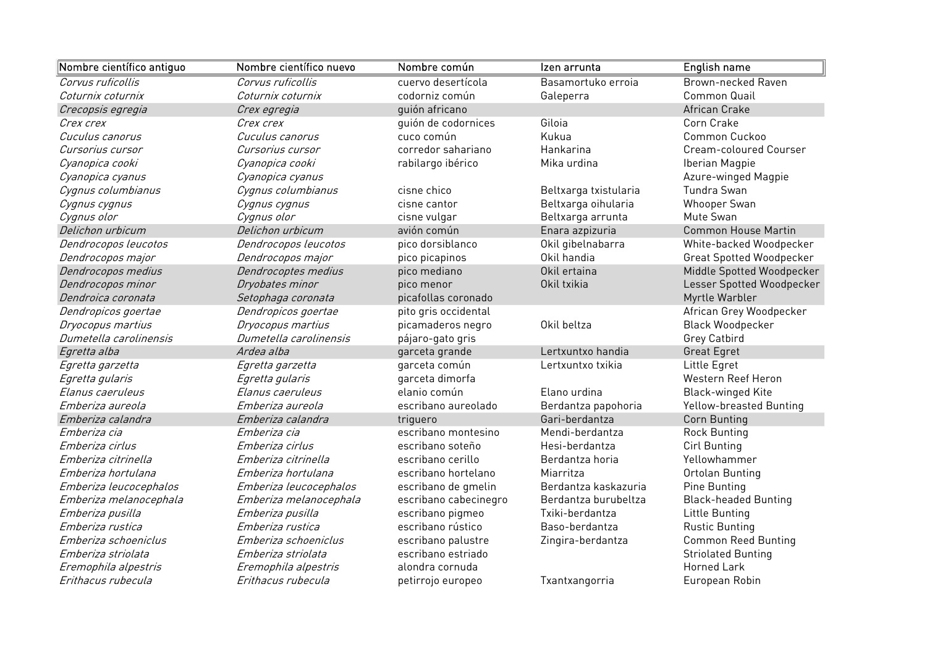| Nombre científico antiguo | Nombre científico nuevo | Nombre común          | Izen arrunta          | English name                    |
|---------------------------|-------------------------|-----------------------|-----------------------|---------------------------------|
| Corvus ruficollis         | Corvus ruficollis       | cuervo desertícola    | Basamortuko erroia    | Brown-necked Raven              |
| Coturnix coturnix         | Coturnix coturnix       | codorniz común        | Galeperra             | Common Quail                    |
| Crecopsis egregia         | Crex egregia            | quión africano        |                       | African Crake                   |
| Crex crex                 | Crex crex               | quión de codornices   | Giloia                | Corn Crake                      |
| Cuculus canorus           | Cuculus canorus         | cuco común            | Kukua                 | Common Cuckoo                   |
| Cursorius cursor          | Cursorius cursor        | corredor sahariano    | Hankarina             | Cream-coloured Courser          |
| Cyanopica cooki           | Cyanopica cooki         | rabilargo ibérico     | Mika urdina           | Iberian Magpie                  |
| Cyanopica cyanus          | Cyanopica cyanus        |                       |                       | Azure-winged Magpie             |
| Cygnus columbianus        | Cygnus columbianus      | cisne chico           | Beltxarga txistularia | Tundra Swan                     |
| Cygnus cygnus             | Cygnus cygnus           | cisne cantor          | Beltxarga oihularia   | Whooper Swan                    |
| Cygnus olor               | Cygnus olor             | cisne vulgar          | Beltxarga arrunta     | Mute Swan                       |
| Delichon urbicum          | Delichon urbicum        | avión común           | Enara azpizuria       | <b>Common House Martin</b>      |
| Dendrocopos leucotos      | Dendrocopos leucotos    | pico dorsiblanco      | Okil gibelnabarra     | White-backed Woodpecker         |
| Dendrocopos major         | Dendrocopos major       | pico picapinos        | Okil handia           | <b>Great Spotted Woodpecker</b> |
| Dendrocopos medius        | Dendrocoptes medius     | pico mediano          | Okil ertaina          | Middle Spotted Woodpecker       |
| Dendrocopos minor         | Dryobates minor         | pico menor            | Okil txikia           | Lesser Spotted Woodpecker       |
| Dendroica coronata        | Setophaga coronata      | picafollas coronado   |                       | Myrtle Warbler                  |
| Dendropicos goertae       | Dendropicos goertae     | pito gris occidental  |                       | African Grey Woodpecker         |
| Dryocopus martius         | Dryocopus martius       | picamaderos negro     | Okil beltza           | <b>Black Woodpecker</b>         |
| Dumetella carolinensis    | Dumetella carolinensis  | pájaro-gato gris      |                       | Grey Catbird                    |
| Egretta alba              | Ardea alba              | garceta grande        | Lertxuntxo handia     | Great Egret                     |
| Egretta garzetta          | Egretta garzetta        | garceta común         | Lertxuntxo txikia     | Little Egret                    |
| Egretta gularis           | Egretta gularis         | garceta dimorfa       |                       | Western Reef Heron              |
| Elanus caeruleus          | Elanus caeruleus        | elanio común          | Elano urdina          | <b>Black-winged Kite</b>        |
| Emberiza aureola          | Emberiza aureola        | escribano aureolado   | Berdantza papohoria   | <b>Yellow-breasted Bunting</b>  |
| Emberiza calandra         | Emberiza calandra       | triguero              | Gari-berdantza        | Corn Bunting                    |
| Emberiza cia              | Emberiza cia            | escribano montesino   | Mendi-berdantza       | <b>Rock Bunting</b>             |
| Emberiza cirlus           | Emberiza cirlus         | escribano soteño      | Hesi-berdantza        | Cirl Bunting                    |
| Emberiza citrinella       | Emberiza citrinella     | escribano cerillo     | Berdantza horia       | Yellowhammer                    |
| Emberiza hortulana        | Emberiza hortulana      | escribano hortelano   | Miarritza             | Ortolan Bunting                 |
| Emberiza leucocephalos    | Emberiza leucocephalos  | escribano de gmelin   | Berdantza kaskazuria  | Pine Bunting                    |
| Emberiza melanocephala    | Emberiza melanocephala  | escribano cabecinegro | Berdantza burubeltza  | <b>Black-headed Bunting</b>     |
| Emberiza pusilla          | Emberiza pusilla        | escribano pigmeo      | Txiki-berdantza       | Little Bunting                  |
| Emberiza rustica          | Emberiza rustica        | escribano rústico     | Baso-berdantza        | <b>Rustic Bunting</b>           |
| Emberiza schoeniclus      | Emberiza schoeniclus    | escribano palustre    | Zingira-berdantza     | <b>Common Reed Bunting</b>      |
| Emberiza striolata        | Emberiza striolata      | escribano estriado    |                       | <b>Striolated Bunting</b>       |
| Eremophila alpestris      | Eremophila alpestris    | alondra cornuda       |                       | <b>Horned Lark</b>              |
| Erithacus rubecula        | Erithacus rubecula      | petirrojo europeo     | Txantxangorria        | European Robin                  |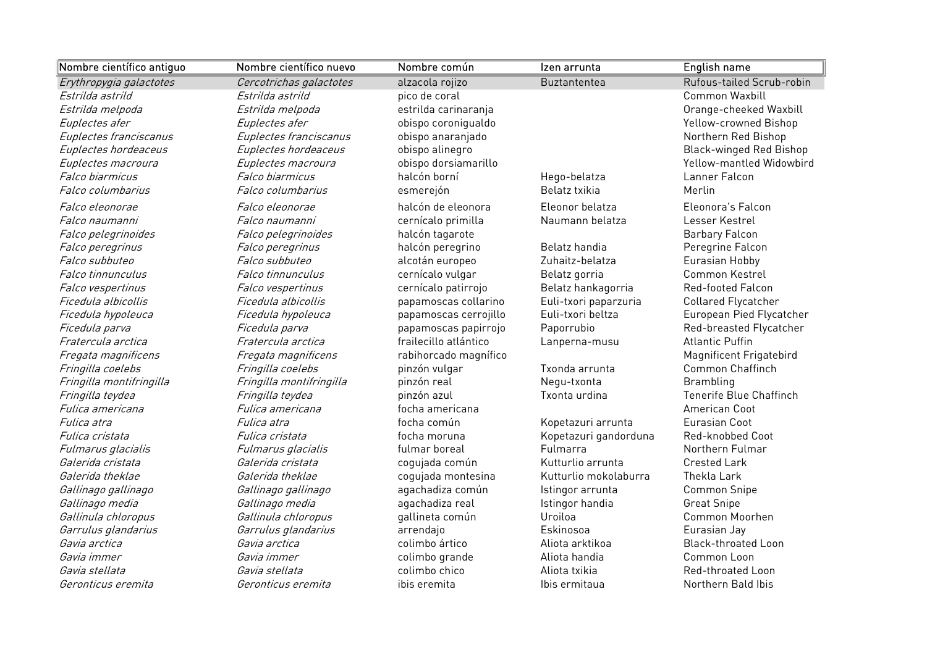| Nombre científico antiguo | Nombre científico nuevo  | Nombre común          | Izen arrunta          | English name                   |
|---------------------------|--------------------------|-----------------------|-----------------------|--------------------------------|
| Erythropygia galactotes   | Cercotrichas galactotes  | alzacola rojizo       | <b>Buztantentea</b>   | Rufous-tailed Scrub-robin      |
| Estrilda astrild          | Estrilda astrild         | pico de coral         |                       | Common Waxbill                 |
| Estrilda melpoda          | Estrilda melpoda         | estrilda carinaranja  |                       | Orange-cheeked Waxbill         |
| Euplectes afer            | Euplectes afer           | obispo coronigualdo   |                       | Yellow-crowned Bishop          |
| Euplectes franciscanus    | Euplectes franciscanus   | obispo anaranjado     |                       | Northern Red Bishop            |
| Euplectes hordeaceus      | Euplectes hordeaceus     | obispo alinegro       |                       | <b>Black-winged Red Bishop</b> |
| Euplectes macroura        | Euplectes macroura       | obispo dorsiamarillo  |                       | Yellow-mantled Widowbird       |
| Falco biarmicus           | Falco biarmicus          | halcón borní          | Hego-belatza          | Lanner Falcon                  |
| Falco columbarius         | Falco columbarius        | esmerejón             | Belatz txikia         | Merlin                         |
| Falco eleonorae           | <i>Falco eleonorae</i>   | halcón de eleonora    | Eleonor belatza       | Eleonora's Falcon              |
| Falco naumanni            | Falco naumanni           | cernícalo primilla    | Naumann belatza       | Lesser Kestrel                 |
| Falco pelegrinoides       | Falco pelegrinoides      | halcón tagarote       |                       | <b>Barbary Falcon</b>          |
| Falco peregrinus          | Falco peregrinus         | halcón peregrino      | Belatz handia         | Peregrine Falcon               |
| Falco subbuteo            | Falco subbuteo           | alcotán europeo       | Zuhaitz-belatza       | Eurasian Hobby                 |
| Falco tinnunculus         | Falco tinnunculus        | cernícalo vulgar      | Belatz gorria         | Common Kestrel                 |
| Falco vespertinus         | Falco vespertinus        | cernícalo patirrojo   | Belatz hankagorria    | <b>Red-footed Falcon</b>       |
| Ficedula albicollis       | Ficedula albicollis      | papamoscas collarino  | Euli-txori paparzuria | Collared Flycatcher            |
| Ficedula hypoleuca        | Ficedula hypoleuca       | papamoscas cerrojillo | Euli-txori beltza     | European Pied Flycatcher       |
| Ficedula parva            | Ficedula parva           | papamoscas papirrojo  | Paporrubio            | Red-breasted Flycatcher        |
| Fratercula arctica        | Fratercula arctica       | frailecillo atlántico | Lanperna-musu         | <b>Atlantic Puffin</b>         |
| Fregata magnificens       | Fregata magnificens      | rabihorcado magnífico |                       | Magnificent Frigatebird        |
| Fringilla coelebs         | Fringilla coelebs        | pinzón vulgar         | Txonda arrunta        | Common Chaffinch               |
| Fringilla montifringilla  | Fringilla montifringilla | pinzón real           | Negu-txonta           | Brambling                      |
| Fringilla teydea          | Fringilla teydea         | pinzón azul           | Txonta urdina         | Tenerife Blue Chaffinch        |
| Fulica americana          | Fulica americana         | focha americana       |                       | American Coot                  |
| Fulica atra               | <i>Fulica atra</i>       | focha común           | Kopetazuri arrunta    | Eurasian Coot                  |
| Fulica cristata           | Fulica cristata          | focha moruna          | Kopetazuri gandorduna | Red-knobbed Coot               |
| Fulmarus glacialis        | Fulmarus glacialis       | fulmar boreal         | Fulmarra              | Northern Fulmar                |
| Galerida cristata         | Galerida cristata        | cogujada común        | Kutturlio arrunta     | <b>Crested Lark</b>            |
| Galerida theklae          | Galerida theklae         | cogujada montesina    | Kutturlio mokolaburra | Thekla Lark                    |
| Gallinago gallinago       | Gallinago gallinago      | agachadiza común      | Istingor arrunta      | Common Snipe                   |
| Gallinago media           | Gallinago media          | agachadiza real       | Istingor handia       | <b>Great Snipe</b>             |
| Gallinula chloropus       | Gallinula chloropus      | gallineta común       | Uroiloa               | Common Moorhen                 |
| Garrulus glandarius       | Garrulus glandarius      | arrendajo             | Eskinosoa             | Eurasian Jay                   |
| Gavia arctica             | Gavia arctica            | colimbo ártico        | Aliota arktikoa       | <b>Black-throated Loon</b>     |
| Gavia immer               | Gavia immer              | colimbo grande        | Aliota handia         | Common Loon                    |
| Gavia stellata            | Gavia stellata           | colimbo chico         | Aliota txikia         | Red-throated Loon              |
| Geronticus eremita        | Geronticus eremita       | ibis eremita          | Ibis ermitaua         | Northern Bald Ibis             |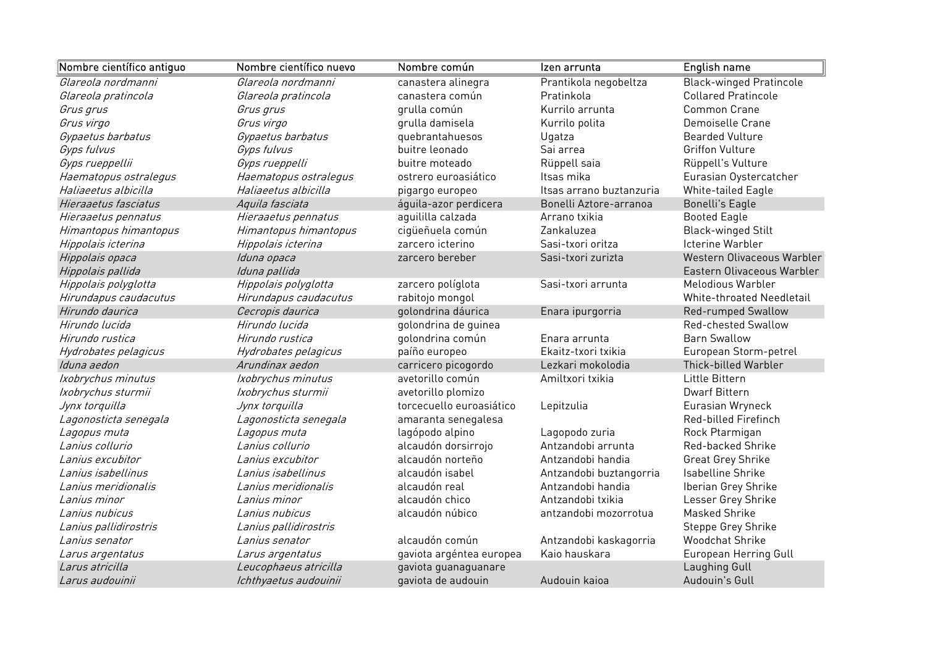| Nombre científico antiguo | Nombre científico nuevo | Nombre común             | Izen arrunta             | English name                   |
|---------------------------|-------------------------|--------------------------|--------------------------|--------------------------------|
| Glareola nordmanni        | Glareola nordmanni      | canastera alinegra       | Prantikola negobeltza    | <b>Black-winged Pratincole</b> |
| Glareola pratincola       | Glareola pratincola     | canastera común          | Pratinkola               | <b>Collared Pratincole</b>     |
| Grus grus                 | Grus grus               | grulla común             | Kurrilo arrunta          | Common Crane                   |
| Grus virgo                | Grus virgo              | grulla damisela          | Kurrilo polita           | Demoiselle Crane               |
| Gypaetus barbatus         | Gypaetus barbatus       | quebrantahuesos          | Ugatza                   | <b>Bearded Vulture</b>         |
| Gyps fulvus               | Gyps fulvus             | buitre leonado           | Sai arrea                | <b>Griffon Vulture</b>         |
| Gyps rueppellii           | Gyps rueppelli          | buitre moteado           | Rüppell saia             | Rüppell's Vulture              |
| Haematopus ostralegus     | Haematopus ostralegus   | ostrero euroasiático     | Itsas mika               | Eurasian Oystercatcher         |
| Haliaeetus albicilla      | Haliaeetus albicilla    | pigargo europeo          | Itsas arrano buztanzuria | White-tailed Eagle             |
| Hieraaetus fasciatus      | Aquila fasciata         | águila-azor perdicera    | Bonelli Aztore-arranoa   | <b>Bonelli's Eagle</b>         |
| Hieraaetus pennatus       | Hieraaetus pennatus     | aguililla calzada        | Arrano txikia            | <b>Booted Eagle</b>            |
| Himantopus himantopus     | Himantopus himantopus   | cigüeñuela común         | Zankaluzea               | <b>Black-winged Stilt</b>      |
| Hippolais icterina        | Hippolais icterina      | zarcero icterino         | Sasi-txori oritza        | Icterine Warbler               |
| Hippolais opaca           | Iduna opaca             | zarcero bereber          | Sasi-txori zurizta       | Western Olivaceous Warbler     |
| Hippolais pallida         | Iduna pallida           |                          |                          | Eastern Olivaceous Warbler     |
| Hippolais polyglotta      | Hippolais polyglotta    | zarcero políglota        | Sasi-txori arrunta       | Melodious Warbler              |
| Hirundapus caudacutus     | Hirundapus caudacutus   | rabitojo mongol          |                          | White-throated Needletail      |
| Hirundo daurica           | Cecropis daurica        | golondrina dáurica       | Enara ipurgorria         | Red-rumped Swallow             |
| Hirundo lucida            | Hirundo lucida          | golondrina de guinea     |                          | Red-chested Swallow            |
| Hirundo rustica           | Hirundo rustica         | golondrina común         | Enara arrunta            | <b>Barn Swallow</b>            |
| Hydrobates pelagicus      | Hydrobates pelagicus    | paíño europeo            | Ekaitz-txori txikia      | European Storm-petrel          |
| Iduna aedon               | Arundinax aedon         | carricero picogordo      | Lezkari mokolodia        | Thick-billed Warbler           |
| Ixobrychus minutus        | Ixobrychus minutus      | avetorillo común         | Amiltxori txikia         | Little Bittern                 |
| Ixobrychus sturmii        | Ixobrychus sturmii      | avetorillo plomizo       |                          | <b>Dwarf Bittern</b>           |
| Jynx torquilla            | Jynx torquilla          | torcecuello euroasiático | Lepitzulia               | Eurasian Wryneck               |
| Lagonosticta senegala     | Lagonosticta senegala   | amaranta senegalesa      |                          | Red-billed Firefinch           |
| Lagopus muta              | Lagopus muta            | lagópodo alpino          | Lagopodo zuria           | Rock Ptarmigan                 |
| Lanius collurio           | Lanius collurio         | alcaudón dorsirrojo      | Antzandobi arrunta       | Red-backed Shrike              |
| Lanius excubitor          | Lanius excubitor        | alcaudón norteño         | Antzandobi handia        | Great Grey Shrike              |
| Lanius isabellinus        | Lanius isabellinus      | alcaudón isabel          | Antzandobi buztangorria  | Isabelline Shrike              |
| Lanius meridionalis       | Lanius meridionalis     | alcaudón real            | Antzandobi handia        | Iberian Grey Shrike            |
| Lanius minor              | Lanius minor            | alcaudón chico           | Antzandobi txikia        | Lesser Grey Shrike             |
| Lanius nubicus            | Lanius nubicus          | alcaudón núbico          | antzandobi mozorrotua    | <b>Masked Shrike</b>           |
| Lanius pallidirostris     | Lanius pallidirostris   |                          |                          | Steppe Grey Shrike             |
| Lanius senator            | Lanius senator          | alcaudón común           | Antzandobi kaskagorria   | <b>Woodchat Shrike</b>         |
| Larus argentatus          | Larus argentatus        | gaviota argéntea europea | Kaio hauskara            | European Herring Gull          |
| Larus atricilla           | Leucophaeus atricilla   | gaviota guanaguanare     |                          | Laughing Gull                  |
| Larus audouinii           | Ichthyaetus audouinii   | gaviota de audouin       | Audouin kaioa            | Audouin's Gull                 |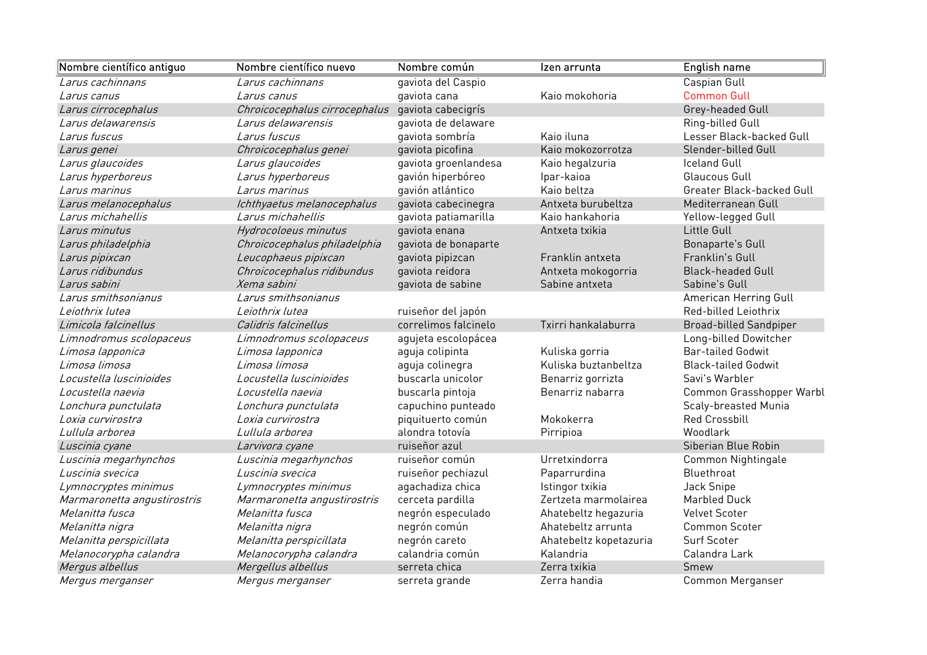| Nombre científico antiguo   | Nombre científico nuevo       | Nombre común         | Izen arrunta           | English name                  |
|-----------------------------|-------------------------------|----------------------|------------------------|-------------------------------|
| Larus cachinnans            | Larus cachinnans              | gaviota del Caspio   |                        | Caspian Gull                  |
| Larus canus                 | Larus canus                   | gaviota cana         | Kaio mokohoria         | <b>Common Gull</b>            |
| Larus cirrocephalus         | Chroicocephalus cirrocephalus | gaviota cabecigrís   |                        | Grey-headed Gull              |
| Larus delawarensis          | Larus delawarensis            | gaviota de delaware  |                        | Ring-billed Gull              |
| Larus fuscus                | Larus fuscus                  | gaviota sombría      | Kaio iluna             | Lesser Black-backed Gull      |
| Larus genei                 | Chroicocephalus genei         | gaviota picofina     | Kaio mokozorrotza      | Slender-billed Gull           |
| Larus glaucoides            | Larus glaucoides              | gaviota groenlandesa | Kaio hegalzuria        | <b>Iceland Gull</b>           |
| Larus hyperboreus           | Larus hyperboreus             | gavión hiperbóreo    | Ipar-kaioa             | <b>Glaucous Gull</b>          |
| Larus marinus               | Larus marinus                 | gavión atlántico     | Kaio beltza            | Greater Black-backed Gull     |
| Larus melanocephalus        | Ichthyaetus melanocephalus    | gaviota cabecinegra  | Antxeta burubeltza     | Mediterranean Gull            |
| Larus michahellis           | Larus michahellis             | gaviota patiamarilla | Kaio hankahoria        | Yellow-legged Gull            |
| Larus minutus               | Hydrocoloeus minutus          | gaviota enana        | Antxeta txikia         | Little Gull                   |
| Larus philadelphia          | Chroicocephalus philadelphia  | gaviota de bonaparte |                        | Bonaparte's Gull              |
| Larus pipixcan              | Leucophaeus pipixcan          | gaviota pipizcan     | Franklin antxeta       | Franklin's Gull               |
| Larus ridibundus            | Chroicocephalus ridibundus    | gaviota reidora      | Antxeta mokogorria     | <b>Black-headed Gull</b>      |
| Larus sabini                | Xema sabini                   | gaviota de sabine    | Sabine antxeta         | Sabine's Gull                 |
| Larus smithsonianus         | Larus smithsonianus           |                      |                        | American Herring Gull         |
| Leiothrix lutea             | Leiothrix lutea               | ruiseñor del japón   |                        | Red-billed Leiothrix          |
| Limicola falcinellus        | Calidris falcinellus          | correlimos falcinelo | Txirri hankalaburra    | <b>Broad-billed Sandpiper</b> |
| Limnodromus scolopaceus     | Limnodromus scolopaceus       | agujeta escolopácea  |                        | Long-billed Dowitcher         |
| Limosa lapponica            | Limosa lapponica              | aguja colipinta      | Kuliska gorria         | <b>Bar-tailed Godwit</b>      |
| Limosa limosa               | Limosa limosa                 | aguja colinegra      | Kuliska buztanbeltza   | <b>Black-tailed Godwit</b>    |
| Locustella luscinioides     | Locustella luscinioides       | buscarla unicolor    | Benarriz gorrizta      | Savi's Warbler                |
| Locustella naevia           | Locustella naevia             | buscarla pintoja     | Benarriz nabarra       | Common Grasshopper Warbl      |
| Lonchura punctulata         | Lonchura punctulata           | capuchino punteado   |                        | Scaly-breasted Munia          |
| Loxia curvirostra           | Loxia curvirostra             | piquituerto común    | Mokokerra              | <b>Red Crossbill</b>          |
| Lullula arborea             | Lullula arborea               | alondra totovía      | Pirripioa              | Woodlark                      |
| Luscinia cyane              | Larvivora cyane               | ruiseñor azul        |                        | Siberian Blue Robin           |
| Luscinia megarhynchos       | Luscinia megarhynchos         | ruiseñor común       | Urretxindorra          | Common Nightingale            |
| Luscinia svecica            | Luscinia svecica              | ruiseñor pechiazul   | Paparrurdina           | Bluethroat                    |
| Lymnocryptes minimus        | Lymnocryptes minimus          | agachadiza chica     | Istingor txikia        | Jack Snipe                    |
| Marmaronetta angustirostris | Marmaronetta angustirostris   | cerceta pardilla     | Zertzeta marmolairea   | Marbled Duck                  |
| Melanitta fusca             | Melanitta fusca               | negrón especulado    | Ahatebeltz hegazuria   | <b>Velvet Scoter</b>          |
| Melanitta nigra             | Melanitta nigra               | negrón común         | Ahatebeltz arrunta     | <b>Common Scoter</b>          |
| Melanitta perspicillata     | Melanitta perspicillata       | negrón careto        | Ahatebeltz kopetazuria | Surf Scoter                   |
| Melanocorypha calandra      | Melanocorypha calandra        | calandria común      | Kalandria              | Calandra Lark                 |
| Mergus albellus             | Mergellus albellus            | serreta chica        | Zerra txikia           | Smew                          |
| <i>Mergus merganser</i>     | Mergus merganser              | serreta grande       | Zerra handia           | Common Merganser              |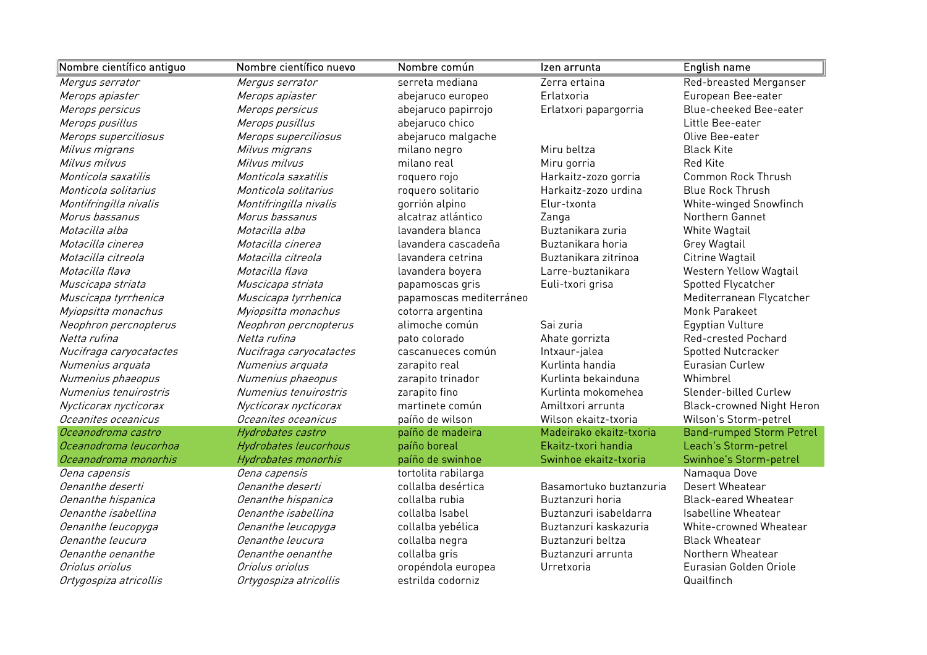| Nombre científico antiguo | Nombre científico nuevo | Nombre común            | Izen arrunta            | <b>English name</b>              |
|---------------------------|-------------------------|-------------------------|-------------------------|----------------------------------|
| Mergus serrator           | Mergus serrator         | serreta mediana         | Zerra ertaina           | Red-breasted Merganser           |
| Merops apiaster           | Merops apiaster         | abejaruco europeo       | Erlatxoria              | European Bee-eater               |
| Merops persicus           | Merops persicus         | abejaruco papirrojo     | Erlatxori papargorria   | Blue-cheeked Bee-eater           |
| Merops pusillus           | Merops pusillus         | abejaruco chico         |                         | Little Bee-eater                 |
| Merops superciliosus      | Merops superciliosus    | abejaruco malgache      |                         | Olive Bee-eater                  |
| Milvus migrans            | Milvus migrans          | milano negro            | Miru beltza             | <b>Black Kite</b>                |
| Milvus milvus             | Milvus milvus           | milano real             | Miru gorria             | <b>Red Kite</b>                  |
| Monticola saxatilis       | Monticola saxatilis     | roquero rojo            | Harkaitz-zozo gorria    | <b>Common Rock Thrush</b>        |
| Monticola solitarius      | Monticola solitarius    | roquero solitario       | Harkaitz-zozo urdina    | <b>Blue Rock Thrush</b>          |
| Montifringilla nivalis    | Montifringilla nivalis  | gorrión alpino          | Elur-txonta             | White-winged Snowfinch           |
| Morus bassanus            | Morus bassanus          | alcatraz atlántico      | Zanga                   | Northern Gannet                  |
| Motacilla alba            | Motacilla alba          | lavandera blanca        | Buztanikara zuria       | White Wagtail                    |
| Motacilla cinerea         | Motacilla cinerea       | lavandera cascadeña     | Buztanikara horia       | Grey Wagtail                     |
| Motacilla citreola        | Motacilla citreola      | lavandera cetrina       | Buztanikara zitrinoa    | Citrine Wagtail                  |
| Motacilla flava           | Motacilla flava         | lavandera boyera        | Larre-buztanikara       | Western Yellow Wagtail           |
| Muscicapa striata         | Muscicapa striata       | papamoscas gris         | Euli-txori grisa        | Spotted Flycatcher               |
| Muscicapa tyrrhenica      | Muscicapa tyrrhenica    | papamoscas mediterráneo |                         | Mediterranean Flycatcher         |
| Myiopsitta monachus       | Myiopsitta monachus     | cotorra argentina       |                         | Monk Parakeet                    |
| Neophron percnopterus     | Neophron percnopterus   | alimoche común          | Sai zuria               | Egyptian Vulture                 |
| Netta rufina              | Netta rufina            | pato colorado           | Ahate gorrizta          | Red-crested Pochard              |
| Nucifraga caryocatactes   | Nucifraga caryocatactes | cascanueces común       | Intxaur-jalea           | Spotted Nutcracker               |
| Numenius arquata          | Numenius arquata        | zarapito real           | Kurlinta handia         | Eurasian Curlew                  |
| Numenius phaeopus         | Numenius phaeopus       | zarapito trinador       | Kurlinta bekainduna     | Whimbrel                         |
| Numenius tenuirostris     | Numenius tenuirostris   | zarapito fino           | Kurlinta mokomehea      | Slender-billed Curlew            |
| Nycticorax nycticorax     | Nycticorax nycticorax   | martinete común         | Amiltxori arrunta       | <b>Black-crowned Night Heron</b> |
| Oceanites oceanicus       | Oceanites oceanicus     | paíño de wilson         | Wilson ekaitz-txoria    | Wilson's Storm-petrel            |
| Oceanodroma castro        | Hydrobates castro       | paíño de madeira        | Madeirako ekaitz-txoria | <b>Band-rumped Storm Petrel</b>  |
| Oceanodroma leucorhoa     | Hydrobates leucorhous   | paíño boreal            | Ekaitz-txori handia     | Leach's Storm-petrel             |
| Oceanodroma monorhis      | Hydrobates monorhis     | paíño de swinhoe        | Swinhoe ekaitz-txoria   | Swinhoe's Storm-petrel           |
| Oena capensis             | Oena capensis           | tortolita rabilarga     |                         | Namaqua Dove                     |
| Oenanthe deserti          | Oenanthe deserti        | collalba desértica      | Basamortuko buztanzuria | Desert Wheatear                  |
| Oenanthe hispanica        | Oenanthe hispanica      | collalba rubia          | Buztanzuri horia        | <b>Black-eared Wheatear</b>      |
| Oenanthe isabellina       | Oenanthe isabellina     | collalba Isabel         | Buztanzuri isabeldarra  | Isabelline Wheatear              |
| Oenanthe leucopyga        | Oenanthe leucopyga      | collalba yebélica       | Buztanzuri kaskazuria   | White-crowned Wheatear           |
| Oenanthe leucura          | Oenanthe leucura        | collalba negra          | Buztanzuri beltza       | <b>Black Wheatear</b>            |
| Oenanthe oenanthe         | Oenanthe oenanthe       | collalba gris           | Buztanzuri arrunta      | Northern Wheatear                |
| Oriolus oriolus           | Oriolus oriolus         | oropéndola europea      | Urretxoria              | Eurasian Golden Oriole           |
| Ortygospiza atricollis    | Ortygospiza atricollis  | estrilda codorniz       |                         | Quailfinch                       |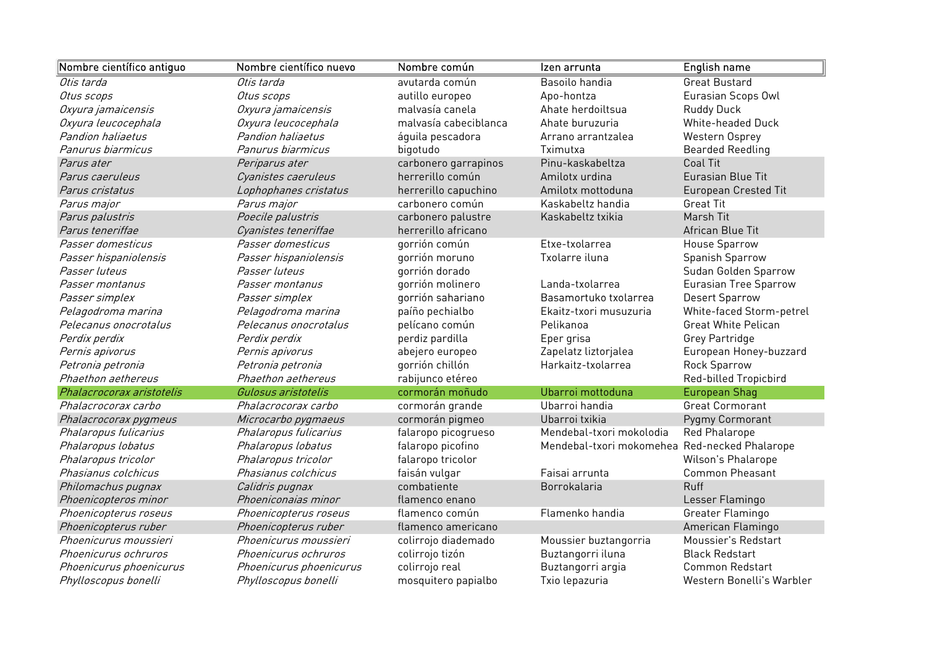| Nombre científico antiguo | Nombre científico nuevo | Nombre común          | Izen arrunta             | English name                |
|---------------------------|-------------------------|-----------------------|--------------------------|-----------------------------|
| Otis tarda                | Otis tarda              | avutarda común        | Basoilo handia           | <b>Great Bustard</b>        |
| Otus scops                | Otus scops              | autillo europeo       | Apo-hontza               | Eurasian Scops Owl          |
| Oxyura jamaicensis        | Oxyura jamaicensis      | malvasía canela       | Ahate herdoiltsua        | <b>Ruddy Duck</b>           |
| Oxyura leucocephala       | Oxyura leucocephala     | malvasía cabeciblanca | Ahate buruzuria          | White-headed Duck           |
| Pandion haliaetus         | Pandion haliaetus       | áquila pescadora      | Arrano arrantzalea       | Western Osprey              |
| Panurus biarmicus         | Panurus biarmicus       | bigotudo              | Tximutxa                 | <b>Bearded Reedling</b>     |
| Parus ater                | Periparus ater          | carbonero garrapinos  | Pinu-kaskabeltza         | <b>Coal Tit</b>             |
| Parus caeruleus           | Cyanistes caeruleus     | herrerillo común      | Amilotx urdina           | Eurasian Blue Tit           |
| Parus cristatus           | Lophophanes cristatus   | herrerillo capuchino  | Amilotx mottoduna        | <b>European Crested Tit</b> |
| Parus major               | Parus major             | carbonero común       | Kaskabeltz handia        | <b>Great Tit</b>            |
| Parus palustris           | Poecile palustris       | carbonero palustre    | Kaskabeltz txikia        | Marsh Tit                   |
| Parus teneriffae          | Cyanistes teneriffae    | herrerillo africano   |                          | African Blue Tit            |
| Passer domesticus         | Passer domesticus       | gorrión común         | Etxe-txolarrea           | House Sparrow               |
| Passer hispaniolensis     | Passer hispaniolensis   | gorrión moruno        | Txolarre iluna           | Spanish Sparrow             |
| Passer luteus             | Passer luteus           | gorrión dorado        |                          | Sudan Golden Sparrow        |
| Passer montanus           | Passer montanus         | gorrión molinero      | Landa-txolarrea          | Eurasian Tree Sparrow       |
| Passer simplex            | Passer simplex          | gorrión sahariano     | Basamortuko txolarrea    | <b>Desert Sparrow</b>       |
| Pelagodroma marina        | Pelagodroma marina      | paíño pechialbo       | Ekaitz-txori musuzuria   | White-faced Storm-petrel    |
| Pelecanus onocrotalus     | Pelecanus onocrotalus   | pelícano común        | Pelikanoa                | <b>Great White Pelican</b>  |
| Perdix perdix             | Perdix perdix           | perdiz pardilla       | Eper grisa               | Grey Partridge              |
| Pernis apivorus           | Pernis apivorus         | abejero europeo       | Zapelatz liztorjalea     | European Honey-buzzard      |
| Petronia petronia         | Petronia petronia       | gorrión chillón       | Harkaitz-txolarrea       | Rock Sparrow                |
| Phaethon aethereus        | Phaethon aethereus      | rabijunco etéreo      |                          | Red-billed Tropicbird       |
| Phalacrocorax aristotelis | Gulosus aristotelis     | cormorán moñudo       | Ubarroi mottoduna        | <b>European Shag</b>        |
| Phalacrocorax carbo       | Phalacrocorax carbo     | cormorán grande       | Ubarroi handia           | <b>Great Cormorant</b>      |
| Phalacrocorax pygmeus     | Microcarbo pygmaeus     | cormorán pigmeo       | Ubarroi txikia           | Pygmy Cormorant             |
| Phalaropus fulicarius     | Phalaropus fulicarius   | falaropo picogrueso   | Mendebal-txori mokolodia | Red Phalarope               |
| Phalaropus lobatus        | Phalaropus lobatus      | falaropo picofino     | Mendebal-txori mokomehea | Red-necked Phalarope        |
| Phalaropus tricolor       | Phalaropus tricolor     | falaropo tricolor     |                          | Wilson's Phalarope          |
| Phasianus colchicus       | Phasianus colchicus     | faisán vulgar         | Faisai arrunta           | <b>Common Pheasant</b>      |
| Philomachus pugnax        | Calidris pugnax         | combatiente           | Borrokalaria             | <b>Ruff</b>                 |
| Phoenicopteros minor      | Phoeniconaias minor     | flamenco enano        |                          | Lesser Flamingo             |
| Phoenicopterus roseus     | Phoenicopterus roseus   | flamenco común        | Flamenko handia          | Greater Flamingo            |
| Phoenicopterus ruber      | Phoenicopterus ruber    | flamenco americano    |                          | American Flamingo           |
| Phoenicurus moussieri     | Phoenicurus moussieri   | colirrojo diademado   | Moussier buztangorria    | Moussier's Redstart         |
| Phoenicurus ochruros      | Phoenicurus ochruros    | colirrojo tizón       | Buztangorri iluna        | <b>Black Redstart</b>       |
| Phoenicurus phoenicurus   | Phoenicurus phoenicurus | colirrojo real        | Buztangorri argia        | Common Redstart             |
| Phylloscopus bonelli      | Phylloscopus bonelli    | mosquitero papialbo   | Txio lepazuria           | Western Bonelli's Warbler   |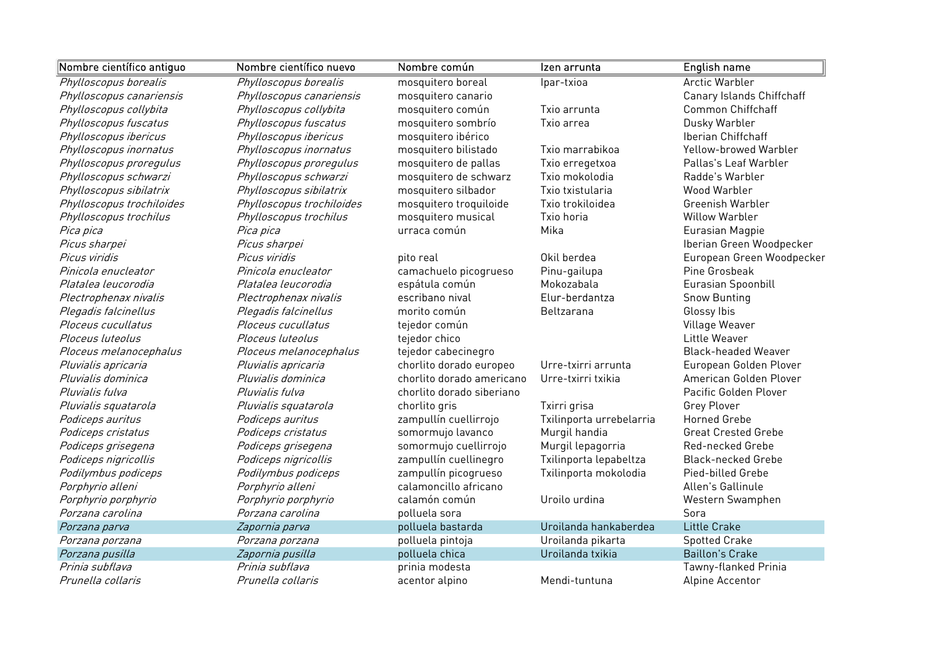| Nombre científico antiguo | Nombre científico nuevo   | Nombre común              | Izen arrunta             | English name               |
|---------------------------|---------------------------|---------------------------|--------------------------|----------------------------|
| Phylloscopus borealis     | Phylloscopus borealis     | mosquitero boreal         | Ipar-txioa               | <b>Arctic Warbler</b>      |
| Phylloscopus canariensis  | Phylloscopus canariensis  | mosquitero canario        |                          | Canary Islands Chiffchaff  |
| Phylloscopus collybita    | Phylloscopus collybita    | mosquitero común          | Txio arrunta             | <b>Common Chiffchaff</b>   |
| Phylloscopus fuscatus     | Phylloscopus fuscatus     | mosquitero sombrío        | Txio arrea               | Dusky Warbler              |
| Phylloscopus ibericus     | Phylloscopus ibericus     | mosquitero ibérico        |                          | Iberian Chiffchaff         |
| Phylloscopus inornatus    | Phylloscopus inornatus    | mosquitero bilistado      | Txio marrabikoa          | Yellow-browed Warbler      |
| Phylloscopus proregulus   | Phylloscopus proregulus   | mosquitero de pallas      | Txio erregetxoa          | Pallas's Leaf Warbler      |
| Phylloscopus schwarzi     | Phylloscopus schwarzi     | mosquitero de schwarz     | Txio mokolodia           | Radde's Warbler            |
| Phylloscopus sibilatrix   | Phylloscopus sibilatrix   | mosquitero silbador       | Txio txistularia         | Wood Warbler               |
| Phylloscopus trochiloides | Phylloscopus trochiloides | mosquitero troquiloide    | Txio trokiloidea         | Greenish Warbler           |
| Phylloscopus trochilus    | Phylloscopus trochilus    | mosquitero musical        | Txio horia               | <b>Willow Warbler</b>      |
| Pica pica                 | Pica pica                 | urraca común              | Mika                     | Eurasian Magpie            |
| Picus sharpei             | Picus sharpei             |                           |                          | Iberian Green Woodpecker   |
| Picus viridis             | Picus viridis             | pito real                 | Okil berdea              | European Green Woodpecker  |
| Pinicola enucleator       | Pinicola enucleator       | camachuelo picogrueso     | Pinu-gailupa             | Pine Grosbeak              |
| Platalea leucorodia       | Platalea leucorodia       | espátula común            | Mokozabala               | Eurasian Spoonbill         |
| Plectrophenax nivalis     | Plectrophenax nivalis     | escribano nival           | Elur-berdantza           | <b>Snow Bunting</b>        |
| Plegadis falcinellus      | Plegadis falcinellus      | morito común              | Beltzarana               | Glossy Ibis                |
| Ploceus cucullatus        | Ploceus cucullatus        | tejedor común             |                          | Village Weaver             |
| Ploceus luteolus          | Ploceus luteolus          | tejedor chico             |                          | Little Weaver              |
| Ploceus melanocephalus    | Ploceus melanocephalus    | tejedor cabecinegro       |                          | <b>Black-headed Weaver</b> |
| Pluvialis apricaria       | Pluvialis apricaria       | chorlito dorado europeo   | Urre-txirri arrunta      | European Golden Plover     |
| Pluvialis dominica        | Pluvialis dominica        | chorlito dorado americano | Urre-txirri txikia       | American Golden Plover     |
| Pluvialis fulva           | Pluvialis fulva           | chorlito dorado siberiano |                          | Pacific Golden Plover      |
| Pluvialis squatarola      | Pluvialis squatarola      | chorlito gris             | Txirri grisa             | Grey Plover                |
| Podiceps auritus          | Podiceps auritus          | zampullín cuellirrojo     | Txilinporta urrebelarria | <b>Horned Grebe</b>        |
| Podiceps cristatus        | Podiceps cristatus        | somormujo lavanco         | Murgil handia            | <b>Great Crested Grebe</b> |
| Podiceps grisegena        | Podiceps grisegena        | somormujo cuellirrojo     | Murgil lepagorria        | Red-necked Grebe           |
| Podiceps nigricollis      | Podiceps nigricollis      | zampullín cuellinegro     | Txilinporta lepabeltza   | <b>Black-necked Grebe</b>  |
| Podilymbus podiceps       | Podilymbus podiceps       | zampullín picogrueso      | Txilinporta mokolodia    | Pied-billed Grebe          |
| Porphyrio alleni          | Porphyrio alleni          | calamoncillo africano     |                          | Allen's Gallinule          |
| Porphyrio porphyrio       | Porphyrio porphyrio       | calamón común             | Uroilo urdina            | Western Swamphen           |
| Porzana carolina          | Porzana carolina          | polluela sora             |                          | Sora                       |
| Porzana parva             | Zapornia parva            | polluela bastarda         | Uroilanda hankaberdea    | <b>Little Crake</b>        |
| Porzana porzana           | Porzana porzana           | polluela pintoja          | Uroilanda pikarta        | <b>Spotted Crake</b>       |
| Porzana pusilla           | Zapornia pusilla          | polluela chica            | Uroilanda txikia         | <b>Baillon's Crake</b>     |
| Prinia subflava           | Prinia subflava           | prinia modesta            |                          | Tawny-flanked Prinia       |
| Prunella collaris         | Prunella collaris         | acentor alpino            | Mendi-tuntuna            | Alpine Accentor            |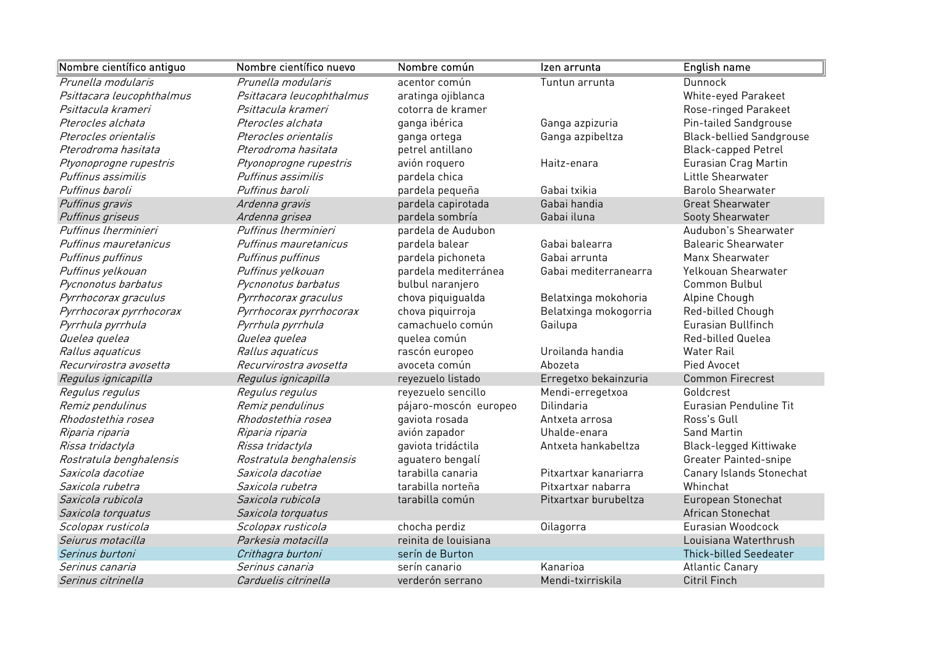| Nombre científico antiguo | Nombre científico nuevo   | Nombre común          | Izen arrunta          | English name                    |
|---------------------------|---------------------------|-----------------------|-----------------------|---------------------------------|
| Prunella modularis        | Prunella modularis        | acentor común         | Tuntun arrunta        | <b>Dunnock</b>                  |
| Psittacara leucophthalmus | Psittacara leucophthalmus | aratinga ojiblanca    |                       | White-eyed Parakeet             |
| Psittacula krameri        | Psittacula krameri        | cotorra de kramer     |                       | Rose-ringed Parakeet            |
| Pterocles alchata         | Pterocles alchata         | ganga ibérica         | Ganga azpizuria       | Pin-tailed Sandgrouse           |
| Pterocles orientalis      | Pterocles orientalis      | ganga ortega          | Ganga azpibeltza      | <b>Black-bellied Sandgrouse</b> |
| Pterodroma hasitata       | Pterodroma hasitata       | petrel antillano      |                       | <b>Black-capped Petrel</b>      |
| Ptyonoprogne rupestris    | Ptyonoprogne rupestris    | avión roquero         | Haitz-enara           | Eurasian Crag Martin            |
| Puffinus assimilis        | Puffinus assimilis        | pardela chica         |                       | Little Shearwater               |
| Puffinus baroli           | Puffinus baroli           | pardela pequeña       | Gabai txikia          | <b>Barolo Shearwater</b>        |
| Puffinus gravis           | Ardenna gravis            | pardela capirotada    | Gabai handia          | <b>Great Shearwater</b>         |
| Puffinus griseus          | Ardenna grisea            | pardela sombría       | Gabai iluna           | Sooty Shearwater                |
| Puffinus Iherminieri      | Puffinus Iherminieri      | pardela de Audubon    |                       | Audubon's Shearwater            |
| Puffinus mauretanicus     | Puffinus mauretanicus     | pardela balear        | Gabai balearra        | <b>Balearic Shearwater</b>      |
| Puffinus puffinus         | Puffinus puffinus         | pardela pichoneta     | Gabai arrunta         | Manx Shearwater                 |
| Puffinus yelkouan         | Puffinus yelkouan         | pardela mediterránea  | Gabai mediterranearra | Yelkouan Shearwater             |
| Pycnonotus barbatus       | Pycnonotus barbatus       | bulbul naranjero      |                       | Common Bulbul                   |
| Pyrrhocorax graculus      | Pyrrhocorax graculus      | chova piquigualda     | Belatxinga mokohoria  | Alpine Chough                   |
| Pyrrhocorax pyrrhocorax   | Pyrrhocorax pyrrhocorax   | chova piquirroja      | Belatxinga mokogorria | Red-billed Chough               |
| Pyrrhula pyrrhula         | Pyrrhula pyrrhula         | camachuelo común      | Gailupa               | Eurasian Bullfinch              |
| Quelea quelea             | Quelea quelea             | quelea común          |                       | Red-billed Quelea               |
| Rallus aquaticus          | Rallus aquaticus          | rascón europeo        | Uroilanda handia      | <b>Water Rail</b>               |
| Recurvirostra avosetta    | Recurvirostra avosetta    | avoceta común         | Abozeta               | Pied Avocet                     |
| Regulus ignicapilla       | Regulus ignicapilla       | reyezuelo listado     | Erregetxo bekainzuria | <b>Common Firecrest</b>         |
| Regulus regulus           | Regulus regulus           | reyezuelo sencillo    | Mendi-erregetxoa      | Goldcrest                       |
| Remiz pendulinus          | Remiz pendulinus          | pájaro-moscón europeo | <b>Dilindaria</b>     | Eurasian Penduline Tit          |
| Rhodostethia rosea        | Rhodostethia rosea        | gaviota rosada        | Antxeta arrosa        | Ross's Gull                     |
| Riparia riparia           | Riparia riparia           | avión zapador         | Uhalde-enara          | <b>Sand Martin</b>              |
| Rissa tridactyla          | Rissa tridactyla          | gaviota tridáctila    | Antxeta hankabeltza   | <b>Black-legged Kittiwake</b>   |
| Rostratula benghalensis   | Rostratula benghalensis   | aguatero bengalí      |                       | <b>Greater Painted-snipe</b>    |
| Saxicola dacotiae         | Saxicola dacotiae         | tarabilla canaria     | Pitxartxar kanariarra | Canary Islands Stonechat        |
| Saxicola rubetra          | Saxicola rubetra          | tarabilla norteña     | Pitxartxar nabarra    | Whinchat                        |
| Saxicola rubicola         | Saxicola rubicola         | tarabilla común       | Pitxartxar burubeltza | European Stonechat              |
| Saxicola torquatus        | Saxicola torquatus        |                       |                       | African Stonechat               |
| Scolopax rusticola        | Scolopax rusticola        | chocha perdiz         | Oilagorra             | Eurasian Woodcock               |
| Seiurus motacilla         | Parkesia motacilla        | reinita de louisiana  |                       | Louisiana Waterthrush           |
| Serinus burtoni           | Crithagra burtoni         | serín de Burton       |                       | <b>Thick-billed Seedeater</b>   |
| Serinus canaria           | Serinus canaria           | serín canario         | Kanarioa              | <b>Atlantic Canary</b>          |
| Serinus citrinella        | Carduelis citrinella      | verderón serrano      | Mendi-txirriskila     | <b>Citril Finch</b>             |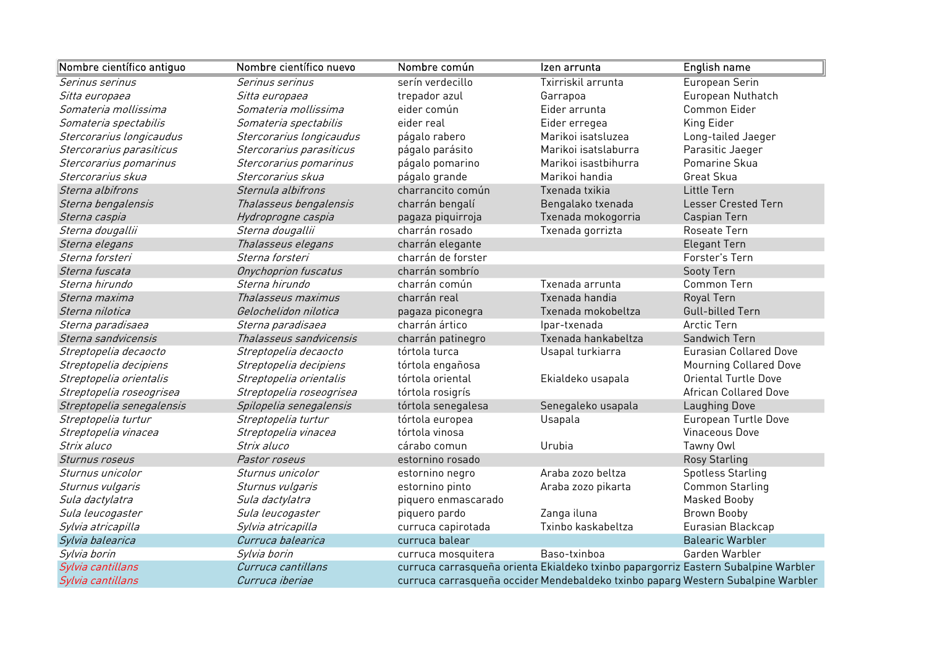| Nombre científico antiguo | Nombre científico nuevo  | Nombre común        | Izen arrunta                                                                       | <b>English name</b>           |
|---------------------------|--------------------------|---------------------|------------------------------------------------------------------------------------|-------------------------------|
| Serinus serinus           | Serinus serinus          | serín verdecillo    | Txirriskil arrunta                                                                 | European Serin                |
| Sitta europaea            | Sitta europaea           | trepador azul       | Garrapoa                                                                           | European Nuthatch             |
| Somateria mollissima      | Somateria mollissima     | eider común         | Eider arrunta                                                                      | Common Eider                  |
| Somateria spectabilis     | Somateria spectabilis    | eider real          | Eider erregea                                                                      | King Eider                    |
| Stercorarius longicaudus  | Stercorarius longicaudus | págalo rabero       | Marikoi isatsluzea                                                                 | Long-tailed Jaeger            |
| Stercorarius parasiticus  | Stercorarius parasiticus | págalo parásito     | Marikoi isatslaburra                                                               | Parasitic Jaeger              |
| Stercorarius pomarinus    | Stercorarius pomarinus   | págalo pomarino     | Marikoi isastbihurra                                                               | Pomarine Skua                 |
| Stercorarius skua         | Stercorarius skua        | págalo grande       | Marikoi handia                                                                     | Great Skua                    |
| Sterna albifrons          | Sternula albifrons       | charrancito común   | Txenada txikia                                                                     | Little Tern                   |
| Sterna bengalensis        | Thalasseus bengalensis   | charrán bengalí     | Bengalako txenada                                                                  | Lesser Crested Tern           |
| Sterna caspia             | Hydroprogne caspia       | pagaza piquirroja   | Txenada mokogorria                                                                 | Caspian Tern                  |
| Sterna dougallii          | Sterna dougallii         | charrán rosado      | Txenada gorrizta                                                                   | Roseate Tern                  |
| Sterna elegans            | Thalasseus elegans       | charrán elegante    |                                                                                    | <b>Elegant Tern</b>           |
| Sterna forsteri           | Sterna forsteri          | charrán de forster  |                                                                                    | Forster's Tern                |
| Sterna fuscata            | Onychoprion fuscatus     | charrán sombrío     |                                                                                    | Sooty Tern                    |
| Sterna hirundo            | Sterna hirundo           | charrán común       | Txenada arrunta                                                                    | Common Tern                   |
| Sterna maxima             | Thalasseus maximus       | charrán real        | Txenada handia                                                                     | Royal Tern                    |
| Sterna nilotica           | Gelochelidon nilotica    | pagaza piconegra    | Txenada mokobeltza                                                                 | Gull-billed Tern              |
| Sterna paradisaea         | Sterna paradisaea        | charrán ártico      | Ipar-txenada                                                                       | <b>Arctic Tern</b>            |
| Sterna sandvicensis       | Thalasseus sandvicensis  | charrán patinegro   | Txenada hankabeltza                                                                | Sandwich Tern                 |
| Streptopelia decaocto     | Streptopelia decaocto    | tórtola turca       | Usapal turkiarra                                                                   | <b>Eurasian Collared Dove</b> |
| Streptopelia decipiens    | Streptopelia decipiens   | tórtola engañosa    |                                                                                    | <b>Mourning Collared Dove</b> |
| Streptopelia orientalis   | Streptopelia orientalis  | tórtola oriental    | Ekialdeko usapala                                                                  | <b>Oriental Turtle Dove</b>   |
| Streptopelia roseogrisea  | Streptopelia roseogrisea | tórtola rosigrís    |                                                                                    | <b>African Collared Dove</b>  |
| Streptopelia senegalensis | Spilopelia senegalensis  | tórtola senegalesa  | Senegaleko usapala                                                                 | Laughing Dove                 |
| Streptopelia turtur       | Streptopelia turtur      | tórtola europea     | Usapala                                                                            | European Turtle Dove          |
| Streptopelia vinacea      | Streptopelia vinacea     | tórtola vinosa      |                                                                                    | Vinaceous Dove                |
| Strix aluco               | Strix aluco              | cárabo comun        | Urubia                                                                             | Tawny Owl                     |
| Sturnus roseus            | Pastor roseus            | estornino rosado    |                                                                                    | <b>Rosy Starling</b>          |
| Sturnus unicolor          | Sturnus unicolor         | estornino negro     | Araba zozo beltza                                                                  | <b>Spotless Starling</b>      |
| Sturnus vulgaris          | Sturnus vulgaris         | estornino pinto     | Araba zozo pikarta                                                                 | Common Starling               |
| Sula dactylatra           | Sula dactylatra          | piquero enmascarado |                                                                                    | Masked Booby                  |
| Sula leucogaster          | Sula leucogaster         | piquero pardo       | Zanga iluna                                                                        | Brown Booby                   |
| Sylvia atricapilla        | Sylvia atricapilla       | curruca capirotada  | Txinbo kaskabeltza                                                                 | Eurasian Blackcap             |
| Sylvia balearica          | Curruca balearica        | curruca balear      |                                                                                    | <b>Balearic Warbler</b>       |
| Sylvia borin              | Sylvia borin             | curruca mosquitera  | Baso-txinboa                                                                       | Garden Warbler                |
| Sylvia cantillans         | Curruca cantillans       |                     | curruca carrasqueña orienta Ekialdeko txinbo papargorriz Eastern Subalpine Warbler |                               |
| Sylvia cantillans         | Curruca iberiae          |                     | curruca carrasqueña occider Mendebaldeko txinbo paparg Western Subalpine Warbler   |                               |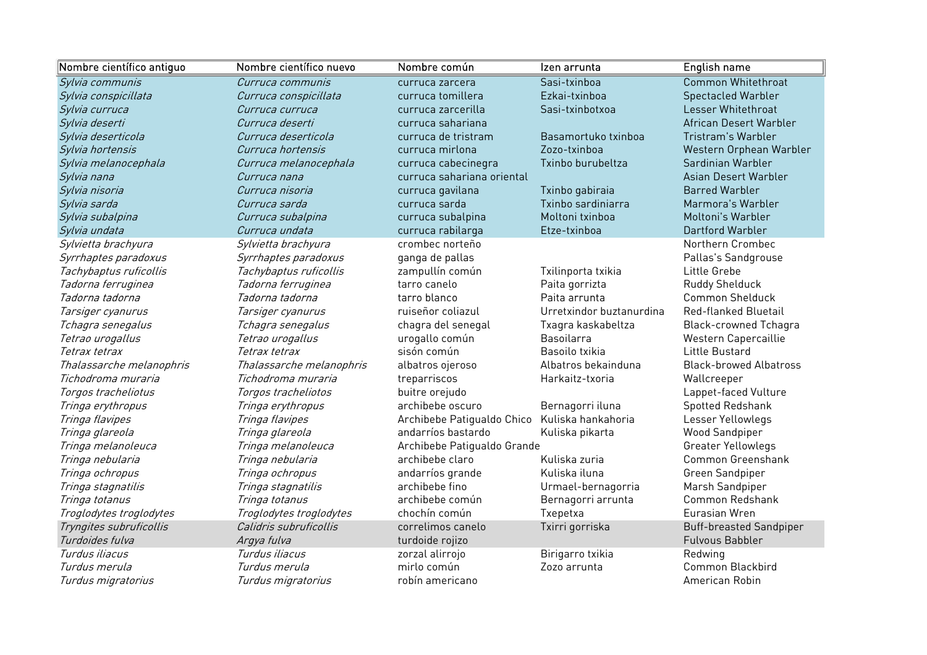| Nombre científico antiguo | Nombre científico nuevo  | Nombre común                | Izen arrunta             | English name                   |
|---------------------------|--------------------------|-----------------------------|--------------------------|--------------------------------|
| Sylvia communis           | Curruca communis         | curruca zarcera             | Sasi-txinboa             | Common Whitethroat             |
| Sylvia conspicillata      | Curruca conspicillata    | curruca tomillera           | Ezkai-txinboa            | <b>Spectacled Warbler</b>      |
| Sylvia curruca            | Curruca curruca          | curruca zarcerilla          | Sasi-txinbotxoa          | Lesser Whitethroat             |
| Sylvia deserti            | Curruca deserti          | curruca sahariana           |                          | African Desert Warbler         |
| Sylvia deserticola        | Curruca deserticola      | curruca de tristram         | Basamortuko txinboa      | Tristram's Warbler             |
| Sylvia hortensis          | Curruca hortensis        | curruca mirlona             | Zozo-txinboa             | Western Orphean Warbler        |
| Sylvia melanocephala      | Curruca melanocephala    | curruca cabecinegra         | Txinbo burubeltza        | Sardinian Warbler              |
| Sylvia nana               | Curruca nana             | curruca sahariana oriental  |                          | Asian Desert Warbler           |
| Sylvia nisoria            | Curruca nisoria          | curruca gavilana            | Txinbo gabiraia          | <b>Barred Warbler</b>          |
| Sylvia sarda              | Curruca sarda            | curruca sarda               | Txinbo sardiniarra       | Marmora's Warbler              |
| Sylvia subalpina          | Curruca subalpina        | curruca subalpina           | Moltoni txinboa          | Moltoni's Warbler              |
| Sylvia undata             | Curruca undata           | curruca rabilarga           | Etze-txinboa             | Dartford Warbler               |
| Sylvietta brachyura       | Sylvietta brachyura      | crombec norteño             |                          | Northern Crombec               |
| Syrrhaptes paradoxus      | Syrrhaptes paradoxus     | ganga de pallas             |                          | Pallas's Sandgrouse            |
| Tachybaptus ruficollis    | Tachybaptus ruficollis   | zampullín común             | Txilinporta txikia       | Little Grebe                   |
| Tadorna ferruginea        | Tadorna ferruginea       | tarro canelo                | Paita gorrizta           | Ruddy Shelduck                 |
| Tadorna tadorna           | Tadorna tadorna          | tarro blanco                | Paita arrunta            | <b>Common Shelduck</b>         |
| Tarsiger cyanurus         | Tarsiger cyanurus        | ruiseñor coliazul           | Urretxindor buztanurdina | Red-flanked Bluetail           |
| Tchagra senegalus         | Tchagra senegalus        | chagra del senegal          | Txagra kaskabeltza       | <b>Black-crowned Tchagra</b>   |
| Tetrao urogallus          | Tetrao urogallus         | urogallo común              | <b>Basoilarra</b>        | Western Capercaillie           |
| Tetrax tetrax             | Tetrax tetrax            | sisón común                 | Basoilo txikia           | Little Bustard                 |
| Thalassarche melanophris  | Thalassarche melanophris | albatros ojeroso            | Albatros bekainduna      | <b>Black-browed Albatross</b>  |
| Tichodroma muraria        | Tichodroma muraria       | treparriscos                | Harkaitz-txoria          | Wallcreeper                    |
| Torgos tracheliotus       | Torgos tracheliotos      | buitre orejudo              |                          | Lappet-faced Vulture           |
| Tringa erythropus         | Tringa erythropus        | archibebe oscuro            | Bernagorri iluna         | Spotted Redshank               |
| Tringa flavipes           | Tringa flavipes          | Archibebe Patigualdo Chico  | Kuliska hankahoria       | Lesser Yellowlegs              |
| Tringa glareola           | Tringa glareola          | andarríos bastardo          | Kuliska pikarta          | <b>Wood Sandpiper</b>          |
| Tringa melanoleuca        | Tringa melanoleuca       | Archibebe Patigualdo Grande |                          | Greater Yellowlegs             |
| Tringa nebularia          | Tringa nebularia         | archibebe claro             | Kuliska zuria            | Common Greenshank              |
| Tringa ochropus           | Tringa ochropus          | andarríos grande            | Kuliska iluna            | Green Sandpiper                |
| Tringa stagnatilis        | Tringa stagnatilis       | archibebe fino              | Urmael-bernagorria       | Marsh Sandpiper                |
| Tringa totanus            | Tringa totanus           | archibebe común             | Bernagorri arrunta       | Common Redshank                |
| Troglodytes troglodytes   | Troglodytes troglodytes  | chochín común               | Txepetxa                 | Eurasian Wren                  |
| Tryngites subruficollis   | Calidris subruficollis   | correlimos canelo           | Txirri gorriska          | <b>Buff-breasted Sandpiper</b> |
| Turdoides fulva           | Argya fulva              | turdoide rojizo             |                          | <b>Fulvous Babbler</b>         |
| Turdus iliacus            | Turdus iliacus           | zorzal alirrojo             | Birigarro txikia         | Redwing                        |
| Turdus merula             | Turdus merula            | mirlo común                 | Zozo arrunta             | Common Blackbird               |
| Turdus migratorius        | Turdus migratorius       | robín americano             |                          | American Robin                 |